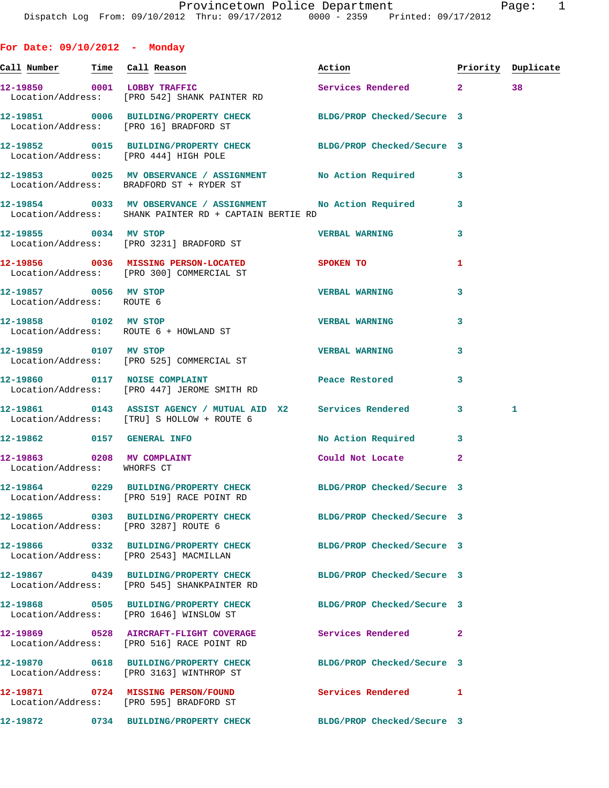| For Date: $09/10/2012$ - Monday                           |                                                                                                                       |                                  |                |    |
|-----------------------------------------------------------|-----------------------------------------------------------------------------------------------------------------------|----------------------------------|----------------|----|
|                                                           | <u>Call Number — Time Call Reason</u>                                                                                 | Action <b>Priority</b> Duplicate |                |    |
|                                                           | 12-19850 0001 LOBBY TRAFFIC<br>Location/Address: [PRO 542] SHANK PAINTER RD                                           | Services Rendered 2              |                | 38 |
|                                                           | 12-19851 0006 BUILDING/PROPERTY CHECK BLDG/PROP Checked/Secure 3<br>Location/Address: [PRO 16] BRADFORD ST            |                                  |                |    |
|                                                           | 12-19852 0015 BUILDING/PROPERTY CHECK BLDG/PROP Checked/Secure 3<br>Location/Address: [PRO 444] HIGH POLE             |                                  |                |    |
|                                                           | 12-19853 0025 MV OBSERVANCE / ASSIGNMENT No Action Required<br>Location/Address: BRADFORD ST + RYDER ST               |                                  | 3              |    |
|                                                           | 12-19854 0033 MV OBSERVANCE / ASSIGNMENT No Action Required<br>Location/Address: SHANK PAINTER RD + CAPTAIN BERTIE RD |                                  | 3              |    |
|                                                           | 12-19855 0034 MV STOP<br>Location/Address: [PRO 3231] BRADFORD ST                                                     | <b>VERBAL WARNING</b>            | 3              |    |
|                                                           | 12-19856 0036 MISSING PERSON-LOCATED SPOKEN TO<br>Location/Address: [PRO 300] COMMERCIAL ST                           |                                  | 1              |    |
| 12-19857 0056 MV STOP<br>Location/Address: ROUTE 6        |                                                                                                                       | <b>VERBAL WARNING</b>            | 3              |    |
|                                                           | 12-19858 0102 MV STOP<br>Location/Address: ROUTE 6 + HOWLAND ST                                                       | <b>VERBAL WARNING</b>            | 3              |    |
|                                                           | 12-19859 0107 MV STOP<br>Location/Address: [PRO 525] COMMERCIAL ST                                                    | <b>VERBAL WARNING</b>            | 3              |    |
|                                                           | 12-19860 0117 NOISE COMPLAINT<br>Location/Address: [PRO 447] JEROME SMITH RD                                          | Peace Restored                   | 3              |    |
|                                                           | 12-19861 0143 ASSIST AGENCY / MUTUAL AID X2 Services Rendered<br>Location/Address: [TRU] S HOLLOW + ROUTE 6           |                                  | $\mathbf{3}$   | 1  |
|                                                           | 12-19862 0157 GENERAL INFO                                                                                            | No Action Required               | 3              |    |
| 12-19863 0208 MV COMPLAINT<br>Location/Address: WHORFS CT |                                                                                                                       | Could Not Locate                 | $\overline{2}$ |    |
|                                                           | 12-19864 0229 BUILDING/PROPERTY CHECK BLDG/PROP Checked/Secure 3<br>Location/Address: [PRO 519] RACE POINT RD         |                                  |                |    |
|                                                           | 12-19865 0303 BUILDING/PROPERTY CHECK BLDG/PROP Checked/Secure 3<br>Location/Address: [PRO 3287] ROUTE 6              |                                  |                |    |
|                                                           | 12-19866 0332 BUILDING/PROPERTY CHECK<br>Location/Address: [PRO 2543] MACMILLAN                                       | BLDG/PROP Checked/Secure 3       |                |    |
|                                                           | 12-19867 0439 BUILDING/PROPERTY CHECK<br>Location/Address: [PRO 545] SHANKPAINTER RD                                  | BLDG/PROP Checked/Secure 3       |                |    |
|                                                           | 12-19868 0505 BUILDING/PROPERTY CHECK BLDG/PROP Checked/Secure 3<br>Location/Address: [PRO 1646] WINSLOW ST           |                                  |                |    |
|                                                           | 12-19869 0528 AIRCRAFT-FLIGHT COVERAGE Services Rendered<br>Location/Address: [PRO 516] RACE POINT RD                 |                                  | $\mathbf{2}$   |    |
|                                                           | 12-19870 0618 BUILDING/PROPERTY CHECK BLDG/PROP Checked/Secure 3<br>Location/Address: [PRO 3163] WINTHROP ST          |                                  |                |    |
|                                                           |                                                                                                                       |                                  |                |    |

 Location/Address: [PRO 595] BRADFORD ST **12-19872 0734 BUILDING/PROPERTY CHECK BLDG/PROP Checked/Secure 3** 

**12-19871 0724 MISSING PERSON/FOUND Services Rendered 1**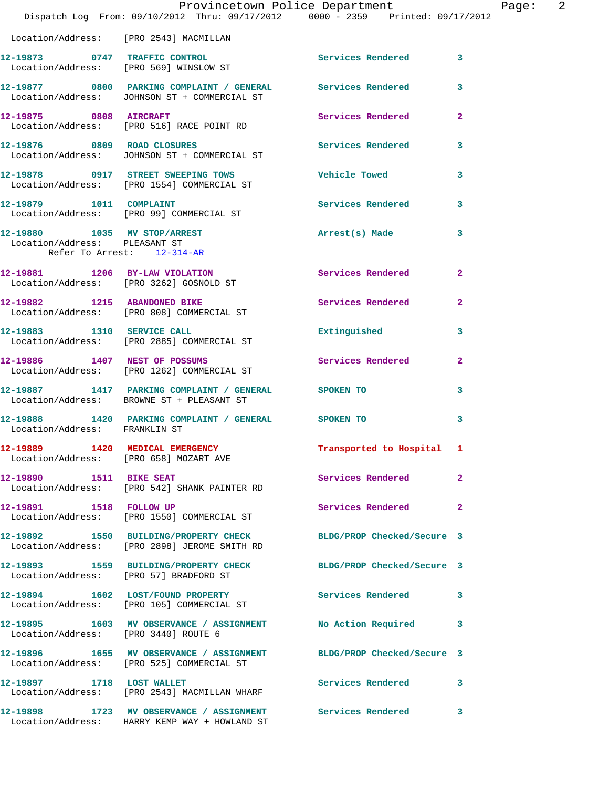|                                                                                             | Provincetown Police Department                                                                              |                            |                |
|---------------------------------------------------------------------------------------------|-------------------------------------------------------------------------------------------------------------|----------------------------|----------------|
|                                                                                             | Dispatch Log From: 09/10/2012 Thru: 09/17/2012 0000 - 2359 Printed: 09/17/2012                              |                            |                |
| Location/Address: [PRO 2543] MACMILLAN                                                      |                                                                                                             |                            |                |
|                                                                                             | 12-19873 0747 TRAFFIC CONTROL<br>Location/Address: [PRO 569] WINSLOW ST                                     | Services Rendered          | 3              |
|                                                                                             | 12-19877 0800 PARKING COMPLAINT / GENERAL Services Rendered<br>Location/Address: JOHNSON ST + COMMERCIAL ST |                            | 3              |
| 12-19875 0808 AIRCRAFT                                                                      | Location/Address: [PRO 516] RACE POINT RD                                                                   | <b>Services Rendered</b>   | $\overline{a}$ |
|                                                                                             | 12-19876 0809 ROAD CLOSURES<br>Location/Address: JOHNSON ST + COMMERCIAL ST                                 | <b>Services Rendered</b>   | 3              |
|                                                                                             | 12-19878 0917 STREET SWEEPING TOWS<br>Location/Address: [PRO 1554] COMMERCIAL ST                            | <b>Vehicle Towed</b>       | 3              |
|                                                                                             | 12-19879 1011 COMPLAINT<br>Location/Address: [PRO 99] COMMERCIAL ST                                         | <b>Services Rendered</b>   | 3              |
| 12-19880 1035 MV STOP/ARREST<br>Location/Address: PLEASANT ST<br>Refer To Arrest: 12-314-AR |                                                                                                             | Arrest(s) Made             | 3              |
|                                                                                             | 12-19881 1206 BY-LAW VIOLATION<br>Location/Address: [PRO 3262] GOSNOLD ST                                   | <b>Services Rendered</b>   | $\overline{a}$ |
|                                                                                             | 12-19882 1215 ABANDONED BIKE<br>Location/Address: [PRO 808] COMMERCIAL ST                                   | Services Rendered          | $\overline{a}$ |
|                                                                                             | 12-19883 1310 SERVICE CALL<br>Location/Address: [PRO 2885] COMMERCIAL ST                                    | Extinguished               | 3              |
|                                                                                             | 12-19886 1407 NEST OF POSSUMS<br>Location/Address: [PRO 1262] COMMERCIAL ST                                 | Services Rendered          | $\mathbf{2}$   |
|                                                                                             | 12-19887 1417 PARKING COMPLAINT / GENERAL SPOKEN TO<br>Location/Address: BROWNE ST + PLEASANT ST            |                            | 3              |
| Location/Address: FRANKLIN ST                                                               | 12-19888 1420 PARKING COMPLAINT / GENERAL SPOKEN TO                                                         |                            | 3              |
| Location/Address: [PRO 658] MOZART AVE                                                      | 12-19889 1420 MEDICAL EMERGENCY                                                                             | Transported to Hospital 1  |                |
| 12-19890 1511 BIKE SEAT                                                                     | Location/Address: [PRO 542] SHANK PAINTER RD                                                                | Services Rendered          | $\overline{a}$ |
| 12-19891 1518 FOLLOW UP                                                                     | Location/Address: [PRO 1550] COMMERCIAL ST                                                                  | <b>Services Rendered</b>   | $\overline{a}$ |
|                                                                                             | 12-19892 1550 BUILDING/PROPERTY CHECK<br>Location/Address: [PRO 2898] JEROME SMITH RD                       | BLDG/PROP Checked/Secure 3 |                |
| Location/Address: [PRO 57] BRADFORD ST                                                      | 12-19893 1559 BUILDING/PROPERTY CHECK                                                                       | BLDG/PROP Checked/Secure 3 |                |
|                                                                                             | 12-19894 1602 LOST/FOUND PROPERTY<br>Location/Address: [PRO 105] COMMERCIAL ST                              | <b>Services Rendered</b>   | 3              |
| Location/Address: [PRO 3440] ROUTE 6                                                        | 12-19895 1603 MV OBSERVANCE / ASSIGNMENT                                                                    | No Action Required         | 3              |
|                                                                                             | 12-19896 1655 MV OBSERVANCE / ASSIGNMENT<br>Location/Address: [PRO 525] COMMERCIAL ST                       | BLDG/PROP Checked/Secure 3 |                |
| 12-19897 1718 LOST WALLET                                                                   | Location/Address: [PRO 2543] MACMILLAN WHARF                                                                | Services Rendered          | 3              |
|                                                                                             | 12-19898 1723 MV OBSERVANCE / ASSIGNMENT Services Rendered<br>Location/Address: HARRY KEMP WAY + HOWLAND ST |                            | 3.             |

Page: 2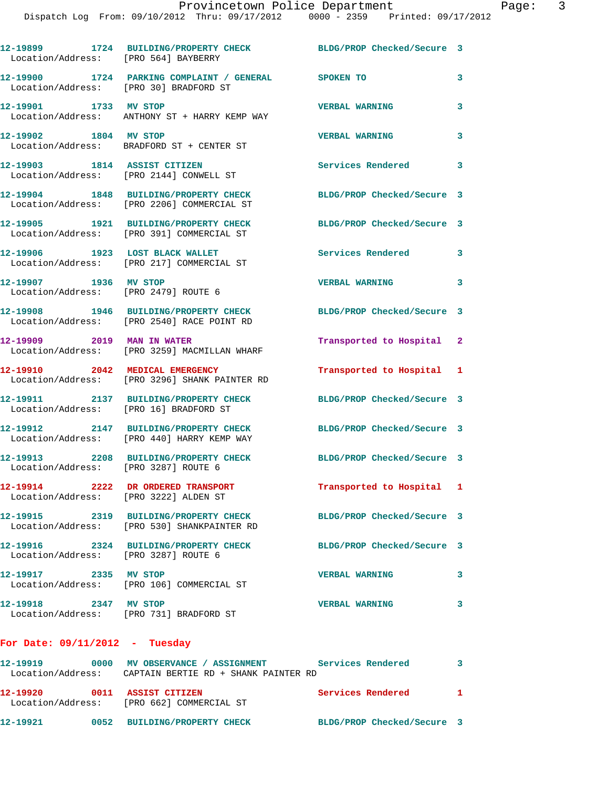**12-19899 1724 BUILDING/PROPERTY CHECK BLDG/PROP Checked/Secure 3**  Location/Address: [PRO 564] BAYBERRY **12-19900 1724 PARKING COMPLAINT / GENERAL SPOKEN TO 3**  Location/Address: [PRO 30] BRADFORD ST **12-19901 1733 MV STOP VERBAL WARNING 3**  Location/Address: ANTHONY ST + HARRY KEMP WAY **12-19902 1804 MV STOP VERBAL WARNING 3**  Location/Address: BRADFORD ST + CENTER ST **12-19903 1814 ASSIST CITIZEN Services Rendered 3**  Location/Address: [PRO 2144] CONWELL ST **12-19904 1848 BUILDING/PROPERTY CHECK BLDG/PROP Checked/Secure 3**  Location/Address: [PRO 2206] COMMERCIAL ST **12-19905 1921 BUILDING/PROPERTY CHECK BLDG/PROP Checked/Secure 3**  Location/Address: [PRO 391] COMMERCIAL ST 12-19906 1923 LOST BLACK WALLET **12-19906** Services Rendered 3 Location/Address: [PRO 217] COMMERCIAL ST **12-19907 1936 MV STOP VERBAL WARNING 3**  Location/Address: [PRO 2479] ROUTE 6 **12-19908 1946 BUILDING/PROPERTY CHECK BLDG/PROP Checked/Secure 3**  Location/Address: [PRO 2540] RACE POINT RD **12-19909 2019 MAN IN WATER Transported to Hospital 2**  Location/Address: [PRO 3259] MACMILLAN WHARF **12-19910 2042 MEDICAL EMERGENCY Transported to Hospital 1**  Location/Address: [PRO 3296] SHANK PAINTER RD **12-19911 2137 BUILDING/PROPERTY CHECK BLDG/PROP Checked/Secure 3**  Location/Address: [PRO 16] BRADFORD ST **12-19912 2147 BUILDING/PROPERTY CHECK BLDG/PROP Checked/Secure 3**  Location/Address: [PRO 440] HARRY KEMP WAY **12-19913 2208 BUILDING/PROPERTY CHECK BLDG/PROP Checked/Secure 3**  Location/Address: [PRO 3287] ROUTE 6 **12-19914 2222 DR ORDERED TRANSPORT Transported to Hospital 1**  Location/Address: [PRO 3222] ALDEN ST **12-19915 2319 BUILDING/PROPERTY CHECK BLDG/PROP Checked/Secure 3**  Location/Address: [PRO 530] SHANKPAINTER RD **12-19916 2324 BUILDING/PROPERTY CHECK BLDG/PROP Checked/Secure 3**  Location/Address: [PRO 3287] ROUTE 6 **12-19917 2335 MV STOP VERBAL WARNING 3**  Location/Address: [PRO 106] COMMERCIAL ST **12-19918 2347 MV STOP VERBAL WARNING 3**  Location/Address: [PRO 731] BRADFORD ST

## **For Date: 09/11/2012 - Tuesday**

**12-19919 0000 MV OBSERVANCE / ASSIGNMENT Services Rendered 3**  Location/Address: CAPTAIN BERTIE RD + SHANK PAINTER RD **12-19920 0011 ASSIST CITIZEN Services Rendered 1**  Location/Address: [PRO 662] COMMERCIAL ST **12-19921 0052 BUILDING/PROPERTY CHECK BLDG/PROP Checked/Secure 3**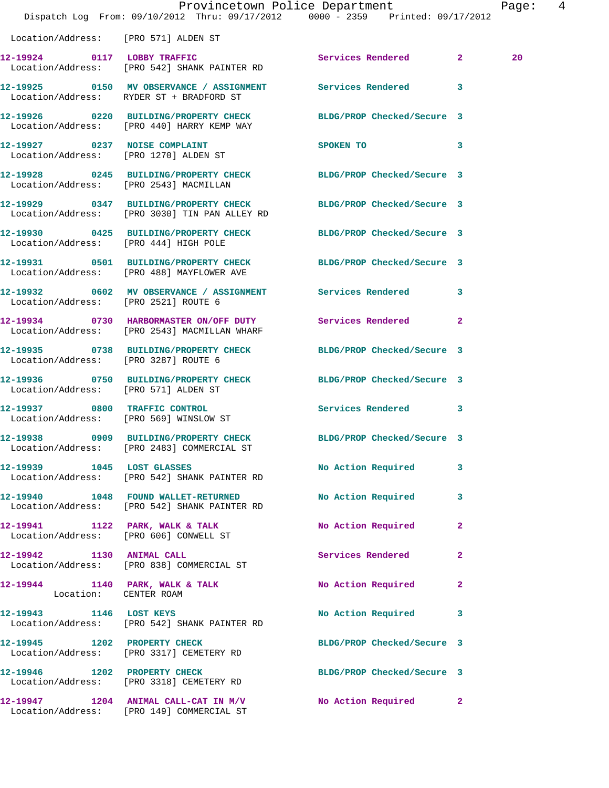|                                      | Provincetown Police Department<br>Dispatch Log From: 09/10/2012 Thru: 09/17/2012 0000 - 2359 Printed: 09/17/2012  |                            |              | Page: 4 |  |
|--------------------------------------|-------------------------------------------------------------------------------------------------------------------|----------------------------|--------------|---------|--|
| Location/Address: [PRO 571] ALDEN ST |                                                                                                                   |                            |              |         |  |
|                                      | 12-19924 0117 LOBBY TRAFFIC<br>Location/Address: [PRO 542] SHANK PAINTER RD                                       | Services Rendered 2        |              | 20      |  |
|                                      | 12-19925 0150 MV OBSERVANCE / ASSIGNMENT Services Rendered 3<br>Location/Address: RYDER ST + BRADFORD ST          |                            |              |         |  |
|                                      | 12-19926 0220 BUILDING/PROPERTY CHECK<br>Location/Address: [PRO 440] HARRY KEMP WAY                               | BLDG/PROP Checked/Secure 3 |              |         |  |
|                                      | 12-19927 0237 NOISE COMPLAINT<br>Location/Address: [PRO 1270] ALDEN ST                                            | SPOKEN TO 3                |              |         |  |
|                                      | 12-19928 0245 BUILDING/PROPERTY CHECK BLDG/PROP Checked/Secure 3<br>Location/Address: [PRO 2543] MACMILLAN        |                            |              |         |  |
|                                      | 12-19929 0347 BUILDING/PROPERTY CHECK BLDG/PROP Checked/Secure 3<br>Location/Address: [PRO 3030] TIN PAN ALLEY RD |                            |              |         |  |
|                                      | 12-19930 0425 BUILDING/PROPERTY CHECK BLDG/PROP Checked/Secure 3<br>Location/Address: [PRO 444] HIGH POLE         |                            |              |         |  |
|                                      | 12-19931 0501 BUILDING/PROPERTY CHECK BLDG/PROP Checked/Secure 3<br>Location/Address: [PRO 488] MAYFLOWER AVE     |                            |              |         |  |
| Location/Address: [PRO 2521] ROUTE 6 | 12-19932 0602 MV OBSERVANCE / ASSIGNMENT Services Rendered 3                                                      |                            |              |         |  |
|                                      | 12-19934 0730 HARBORMASTER ON/OFF DUTY Services Rendered 2<br>Location/Address: [PRO 2543] MACMILLAN WHARF        |                            |              |         |  |
| Location/Address: [PRO 3287] ROUTE 6 | 12-19935 0738 BUILDING/PROPERTY CHECK BLDG/PROP Checked/Secure 3                                                  |                            |              |         |  |
| Location/Address: [PRO 571] ALDEN ST | 12-19936 0750 BUILDING/PROPERTY CHECK BLDG/PROP Checked/Secure 3                                                  |                            |              |         |  |
|                                      | 12-19937 0800 TRAFFIC CONTROL<br>Location/Address: [PRO 569] WINSLOW ST                                           | Services Rendered 3        |              |         |  |
| 12-19938                             | 0909 BUILDING/PROPERTY CHECK<br>Location/Address: [PRO 2483] COMMERCIAL ST                                        | BLDG/PROP Checked/Secure 3 |              |         |  |
|                                      | 12-19939 1045 LOST GLASSES<br>Location/Address: [PRO 542] SHANK PAINTER RD                                        | No Action Required         | 3            |         |  |
|                                      | 12-19940 1048 FOUND WALLET-RETURNED<br>Location/Address: [PRO 542] SHANK PAINTER RD                               | <b>No Action Required</b>  | $\mathbf{3}$ |         |  |
|                                      | 12-19941 1122 PARK, WALK & TALK<br>Location/Address: [PRO 606] CONWELL ST                                         | No Action Required         | $\mathbf{2}$ |         |  |
| 12-19942 1130 ANIMAL CALL            | Location/Address: [PRO 838] COMMERCIAL ST                                                                         | Services Rendered          | $\mathbf{2}$ |         |  |
| Location: CENTER ROAM                | $12-19944$ 1140 PARK, WALK & TALK                                                                                 | No Action Required         | $\mathbf{2}$ |         |  |
|                                      | 12-19943 1146 LOST KEYS<br>Location/Address: [PRO 542] SHANK PAINTER RD                                           | No Action Required 3       |              |         |  |
|                                      | 12-19945 1202 PROPERTY CHECK<br>Location/Address: [PRO 3317] CEMETERY RD                                          | BLDG/PROP Checked/Secure 3 |              |         |  |
|                                      | 12-19946 1202 PROPERTY CHECK<br>Location/Address: [PRO 3318] CEMETERY RD                                          | BLDG/PROP Checked/Secure 3 |              |         |  |
|                                      | 12-19947 1204 ANIMAL CALL-CAT IN M/V<br>Location/Address: [PRO 149] COMMERCIAL ST                                 | No Action Required 2       |              |         |  |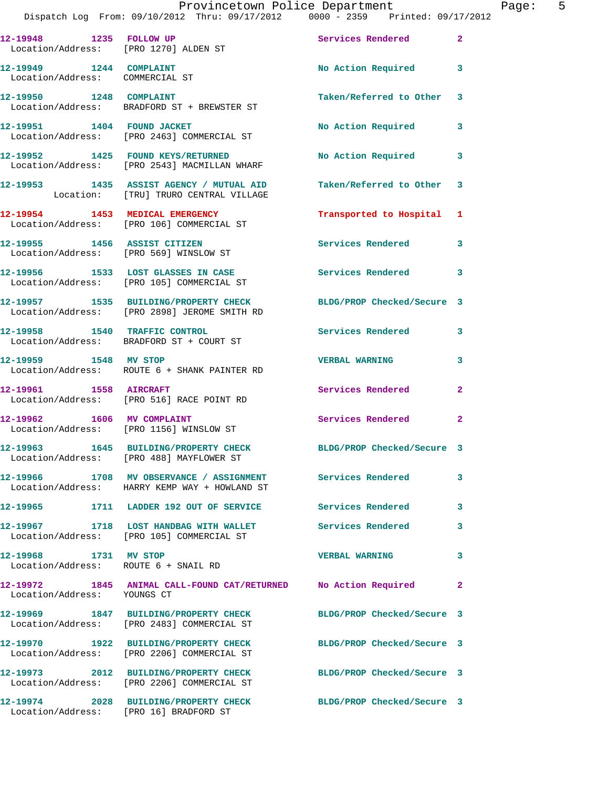|                                                               | Dispatch Log From: 09/10/2012 Thru: 09/17/2012   0000 - 2359   Printed: 09/17/2012                               | Provincetown Police Department | Page: 5      |
|---------------------------------------------------------------|------------------------------------------------------------------------------------------------------------------|--------------------------------|--------------|
| 12-19948 1235 FOLLOW UP                                       | Location/Address: [PRO 1270] ALDEN ST                                                                            | Services Rendered              | $\mathbf{2}$ |
| 12-19949 1244 COMPLAINT<br>Location/Address: COMMERCIAL ST    |                                                                                                                  | No Action Required 3           |              |
|                                                               | 12-19950 1248 COMPLAINT<br>Location/Address: BRADFORD ST + BREWSTER ST                                           | Taken/Referred to Other 3      |              |
|                                                               | 12-19951 1404 FOUND JACKET<br>Location/Address: [PRO 2463] COMMERCIAL ST                                         | No Action Required 3           |              |
|                                                               | 12-19952 1425 FOUND KEYS/RETURNED<br>Location/Address: [PRO 2543] MACMILLAN WHARF                                | No Action Required             | 3            |
|                                                               | 12-19953 1435 ASSIST AGENCY / MUTUAL AID<br>Location: [TRU] TRURO CENTRAL VILLAGE                                | Taken/Referred to Other 3      |              |
|                                                               | 12-19954 1453 MEDICAL EMERGENCY<br>Location/Address: [PRO 106] COMMERCIAL ST                                     | Transported to Hospital 1      |              |
|                                                               | 12-19955 1456 ASSIST CITIZEN<br>Location/Address: [PRO 569] WINSLOW ST                                           | <b>Services Rendered</b>       | 3            |
|                                                               | 12-19956 1533 LOST GLASSES IN CASE 10 Services Rendered 3<br>Location/Address: [PRO 105] COMMERCIAL ST           |                                |              |
|                                                               | 12-19957 1535 BUILDING/PROPERTY CHECK BLDG/PROP Checked/Secure 3<br>Location/Address: [PRO 2898] JEROME SMITH RD |                                |              |
|                                                               | 12-19958 1540 TRAFFIC CONTROL<br>Location/Address: BRADFORD ST + COURT ST                                        | Services Rendered 3            |              |
|                                                               | 12-19959 1548 MV STOP<br>Location/Address: ROUTE 6 + SHANK PAINTER RD                                            | <b>VERBAL WARNING</b>          | 3            |
| 12-19961 1558 AIRCRAFT                                        | Location/Address: [PRO 516] RACE POINT RD                                                                        | Services Rendered              | $\mathbf{2}$ |
|                                                               | 12-19962 1606 MV COMPLAINT<br>Location/Address: [PRO 1156] WINSLOW ST                                            | Services Rendered              | $\mathbf{2}$ |
|                                                               | 12-19963 1645 BUILDING/PROPERTY CHECK<br>Location/Address: [PRO 488] MAYFLOWER ST                                | BLDG/PROP Checked/Secure 3     |              |
|                                                               | 12-19966 1708 MV OBSERVANCE / ASSIGNMENT Services Rendered<br>Location/Address: HARRY KEMP WAY + HOWLAND ST      |                                | 3            |
|                                                               | 12-19965 1711 LADDER 192 OUT OF SERVICE Services Rendered                                                        |                                | 3            |
|                                                               | 12-19967 1718 LOST HANDBAG WITH WALLET Services Rendered<br>Location/Address: [PRO 105] COMMERCIAL ST            |                                | 3            |
| 12-19968 1731 MV STOP<br>Location/Address: ROUTE 6 + SNAIL RD |                                                                                                                  | <b>VERBAL WARNING</b>          | 3            |
| Location/Address: YOUNGS CT                                   | 12-19972 1845 ANIMAL CALL-FOUND CAT/RETURNED No Action Required                                                  |                                | $\mathbf{2}$ |
|                                                               | 12-19969 1847 BUILDING/PROPERTY CHECK<br>Location/Address: [PRO 2483] COMMERCIAL ST                              | BLDG/PROP Checked/Secure 3     |              |
|                                                               | 12-19970 1922 BUILDING/PROPERTY CHECK BLDG/PROP Checked/Secure 3<br>Location/Address: [PRO 2206] COMMERCIAL ST   |                                |              |
|                                                               | 12-19973 2012 BUILDING/PROPERTY CHECK BLDG/PROP Checked/Secure 3<br>Location/Address: [PRO 2206] COMMERCIAL ST   |                                |              |
| Location/Address: [PRO 16] BRADFORD ST                        | 12-19974 2028 BUILDING/PROPERTY CHECK                                                                            | BLDG/PROP Checked/Secure 3     |              |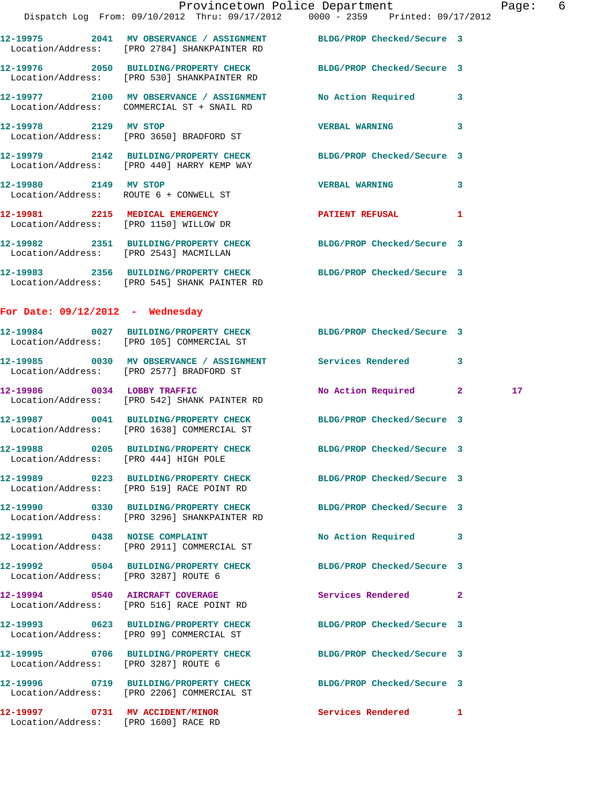|                                       | Dispatch Log From: 09/10/2012 Thru: 09/17/2012   0000 - 2359   Printed: 09/17/2012                                  | Provincetown Police Department |              | Page: 6 |  |
|---------------------------------------|---------------------------------------------------------------------------------------------------------------------|--------------------------------|--------------|---------|--|
|                                       | 12-19975 2041 MV OBSERVANCE / ASSIGNMENT BLDG/PROP Checked/Secure 3<br>Location/Address: [PRO 2784] SHANKPAINTER RD |                                |              |         |  |
|                                       | 12-19976 2050 BUILDING/PROPERTY CHECK BLDG/PROP Checked/Secure 3<br>Location/Address: [PRO 530] SHANKPAINTER RD     |                                |              |         |  |
|                                       | 12-19977 2100 MV OBSERVANCE / ASSIGNMENT No Action Required 3<br>Location/Address: COMMERCIAL ST + SNAIL RD         |                                |              |         |  |
| 12-19978 2129 MV STOP                 | Location/Address: [PRO 3650] BRADFORD ST                                                                            | VERBAL WARNING 3               |              |         |  |
|                                       | 12-19979 2142 BUILDING/PROPERTY CHECK BLDG/PROP Checked/Secure 3<br>Location/Address: [PRO 440] HARRY KEMP WAY      |                                |              |         |  |
| 12-19980 2149 MV STOP                 | Location/Address: ROUTE 6 + CONWELL ST                                                                              | VERBAL WARNING 3               |              |         |  |
|                                       | 12-19981 2215 MEDICAL EMERGENCY<br>Location/Address: [PRO 1150] WILLOW DR                                           | PATIENT REFUSAL                | -1           |         |  |
|                                       | 12-19982 2351 BUILDING/PROPERTY CHECK BLDG/PROP Checked/Secure 3<br>Location/Address: [PRO 2543] MACMILLAN          |                                |              |         |  |
|                                       | 12-19983 2356 BUILDING/PROPERTY CHECK BLDG/PROP Checked/Secure 3<br>Location/Address: [PRO 545] SHANK PAINTER RD    |                                |              |         |  |
| For Date: $09/12/2012$ - Wednesday    |                                                                                                                     |                                |              |         |  |
|                                       | 12-19984 0027 BUILDING/PROPERTY CHECK BLDG/PROP Checked/Secure 3<br>Location/Address: [PRO 105] COMMERCIAL ST       |                                |              |         |  |
|                                       | 12-19985 0030 MV OBSERVANCE / ASSIGNMENT Services Rendered<br>Location/Address: [PRO 2577] BRADFORD ST              |                                | 3            |         |  |
|                                       | 12-19986 0034 LOBBY TRAFFIC<br>Location/Address: [PRO 542] SHANK PAINTER RD                                         | No Action Required 2           |              | 17      |  |
|                                       | 12-19987 0041 BUILDING/PROPERTY CHECK BLDG/PROP Checked/Secure 3<br>Location/Address: [PRO 1638] COMMERCIAL ST      |                                |              |         |  |
| Location/Address: [PRO 444] HIGH POLE | 12-19988 0205 BUILDING/PROPERTY CHECK                                                                               | BLDG/PROP Checked/Secure 3     |              |         |  |
|                                       | 12-19989 0223 BUILDING/PROPERTY CHECK BLDG/PROP Checked/Secure 3<br>Location/Address: [PRO 519] RACE POINT RD       |                                |              |         |  |
|                                       | 12-19990 0330 BUILDING/PROPERTY CHECK<br>Location/Address: [PRO 3296] SHANKPAINTER RD                               | BLDG/PROP Checked/Secure 3     |              |         |  |
| 12-19991 0438 NOISE COMPLAINT         | Location/Address: [PRO 2911] COMMERCIAL ST                                                                          | No Action Required 3           |              |         |  |
| Location/Address: [PRO 3287] ROUTE 6  | 12-19992 0504 BUILDING/PROPERTY CHECK BLDG/PROP Checked/Secure 3                                                    |                                |              |         |  |
|                                       | 12-19994 0540 AIRCRAFT COVERAGE<br>Location/Address: [PRO 516] RACE POINT RD                                        | Services Rendered              | $\mathbf{2}$ |         |  |
|                                       | 12-19993 0623 BUILDING/PROPERTY CHECK<br>Location/Address: [PRO 99] COMMERCIAL ST                                   | BLDG/PROP Checked/Secure 3     |              |         |  |
| Location/Address: [PRO 3287] ROUTE 6  | 12-19995 0706 BUILDING/PROPERTY CHECK BLDG/PROP Checked/Secure 3                                                    |                                |              |         |  |
|                                       | 12-19996 0719 BUILDING/PROPERTY CHECK BLDG/PROP Checked/Secure 3<br>Location/Address: [PRO 2206] COMMERCIAL ST      |                                |              |         |  |
|                                       |                                                                                                                     |                                |              |         |  |

**12-19997 0731 MV ACCIDENT/MINOR Services Rendered 1** 

Location/Address: [PRO 1600] RACE RD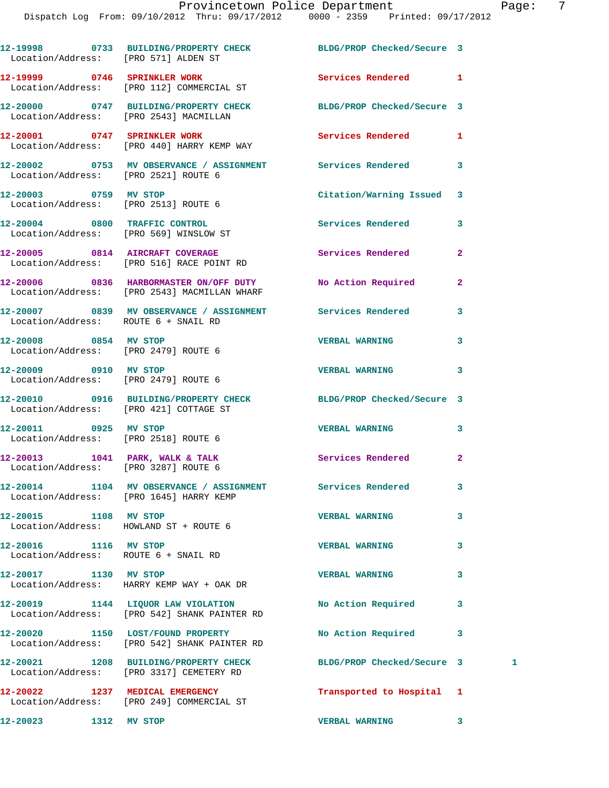|                       | 12-19998 0733 BUILDING/PROPERTY CHECK BLDG/PROP Checked/Secure 3<br>Location/Address: [PRO 571] ALDEN ST   |                            |              |   |
|-----------------------|------------------------------------------------------------------------------------------------------------|----------------------------|--------------|---|
|                       | 12-19999 0746 SPRINKLER WORK<br>Location/Address: [PRO 112] COMMERCIAL ST                                  | Services Rendered 1        |              |   |
|                       | 12-20000 0747 BUILDING/PROPERTY CHECK BLDG/PROP Checked/Secure 3<br>Location/Address: [PRO 2543] MACMILLAN |                            |              |   |
|                       | 12-20001 0747 SPRINKLER WORK<br>Location/Address: [PRO 440] HARRY KEMP WAY                                 | <b>Services Rendered</b>   | 1            |   |
|                       | 12-20002 0753 MV OBSERVANCE / ASSIGNMENT Services Rendered<br>Location/Address: [PRO 2521] ROUTE 6         |                            | 3            |   |
|                       | 12-20003 0759 MV STOP<br>Location/Address: [PRO 2513] ROUTE 6                                              | Citation/Warning Issued    | 3            |   |
|                       | 12-20004 0800 TRAFFIC CONTROL<br>Location/Address: [PRO 569] WINSLOW ST                                    | Services Rendered          | 3            |   |
|                       | 12-20005 0814 AIRCRAFT COVERAGE<br>Location/Address: [PRO 516] RACE POINT RD                               | Services Rendered          | $\mathbf{2}$ |   |
|                       | 12-20006 0836 HARBORMASTER ON/OFF DUTY<br>Location/Address: [PRO 2543] MACMILLAN WHARF                     | No Action Required         | $\mathbf{2}$ |   |
|                       | 12-20007 0839 MV OBSERVANCE / ASSIGNMENT Services Rendered<br>Location/Address: ROUTE 6 + SNAIL RD         |                            | 3            |   |
| 12-20008 0854 MV STOP | Location/Address: [PRO 2479] ROUTE 6                                                                       | <b>VERBAL WARNING</b>      | 3            |   |
|                       | 12-20009 0910 MV STOP<br>Location/Address: [PRO 2479] ROUTE 6                                              | <b>VERBAL WARNING</b>      | 3            |   |
|                       | 12-20010 0916 BUILDING/PROPERTY CHECK BLDG/PROP Checked/Secure 3<br>Location/Address: [PRO 421] COTTAGE ST |                            |              |   |
|                       | 12-20011 0925 MV STOP<br>Location/Address: [PRO 2518] ROUTE 6                                              | <b>VERBAL WARNING</b>      | 3            |   |
|                       | 12-20013 1041 PARK, WALK & TALK<br>Location/Address: [PRO 3287] ROUTE 6                                    | Services Rendered          | $\mathbf{2}$ |   |
|                       | 12-20014 1104 MV OBSERVANCE / ASSIGNMENT<br>Location/Address: [PRO 1645] HARRY KEMP                        | Services Rendered          | 3            |   |
| 12-20015 1108 MV STOP | Location/Address: HOWLAND ST + ROUTE 6                                                                     | <b>VERBAL WARNING</b>      | 3            |   |
| 12-20016 1116 MV STOP | Location/Address: ROUTE 6 + SNAIL RD                                                                       | <b>VERBAL WARNING</b>      | 3            |   |
| 12-20017 1130 MV STOP | Location/Address: HARRY KEMP WAY + OAK DR                                                                  | <b>VERBAL WARNING</b>      | 3            |   |
|                       | 12-20019 1144 LIQUOR LAW VIOLATION<br>Location/Address: [PRO 542] SHANK PAINTER RD                         | No Action Required         | 3            |   |
|                       | 12-20020 1150 LOST/FOUND PROPERTY<br>Location/Address: [PRO 542] SHANK PAINTER RD                          | No Action Required         | 3            |   |
|                       | 12-20021 1208 BUILDING/PROPERTY CHECK<br>Location/Address: [PRO 3317] CEMETERY RD                          | BLDG/PROP Checked/Secure 3 |              | 1 |
|                       | 12-20022 1237 MEDICAL EMERGENCY<br>Location/Address: [PRO 249] COMMERCIAL ST                               | Transported to Hospital 1  |              |   |
| 12-20023 1312 MV STOP |                                                                                                            | <b>VERBAL WARNING</b>      | $\mathbf{3}$ |   |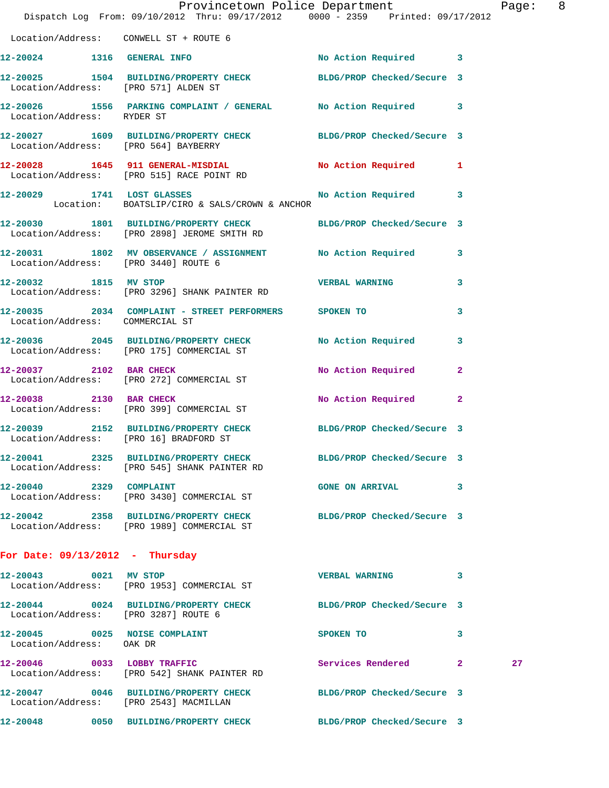|                                        | Provincetown Police Department<br>Dispatch Log From: 09/10/2012 Thru: 09/17/2012 0000 - 2359 Printed: 09/17/2012 |                        |              | Page: 8 |  |
|----------------------------------------|------------------------------------------------------------------------------------------------------------------|------------------------|--------------|---------|--|
| Location/Address: CONWELL ST + ROUTE 6 |                                                                                                                  |                        |              |         |  |
|                                        | 12-20024 1316 GENERAL INFO                                                                                       | No Action Required 3   |              |         |  |
| Location/Address: [PRO 571] ALDEN ST   | 12-20025 1504 BUILDING/PROPERTY CHECK BLDG/PROP Checked/Secure 3                                                 |                        |              |         |  |
| Location/Address: RYDER ST             | 12-20026 1556 PARKING COMPLAINT / GENERAL No Action Required 3                                                   |                        |              |         |  |
| Location/Address: [PRO 564] BAYBERRY   | 12-20027 1609 BUILDING/PROPERTY CHECK BLDG/PROP Checked/Secure 3                                                 |                        |              |         |  |
|                                        | 12-20028 1645 911 GENERAL-MISDIAL No Action Required 1<br>Location/Address: [PRO 515] RACE POINT RD              |                        |              |         |  |
|                                        | 12-20029 1741 LOST GLASSES No No Action Required 3<br>Location: BOATSLIP/CIRO & SALS/CROWN & ANCHOR              |                        |              |         |  |
|                                        | 12-20030 1801 BUILDING/PROPERTY CHECK BLDG/PROP Checked/Secure 3<br>Location/Address: [PRO 2898] JEROME SMITH RD |                        |              |         |  |
|                                        | 12-20031 1802 MV OBSERVANCE / ASSIGNMENT No Action Required 3<br>Location/Address: [PRO 3440] ROUTE 6            |                        |              |         |  |
| 12-20032 1815 MV STOP                  | Location/Address: [PRO 3296] SHANK PAINTER RD                                                                    | <b>VERBAL WARNING</b>  | $\mathbf{3}$ |         |  |
| Location/Address: COMMERCIAL ST        | 12-20035 2034 COMPLAINT - STREET PERFORMERS SPOKEN TO                                                            |                        | 3            |         |  |
|                                        | 12-20036 2045 BUILDING/PROPERTY CHECK No Action Required 3<br>Location/Address: [PRO 175] COMMERCIAL ST          |                        |              |         |  |
|                                        | 12-20037 2102 BAR CHECK<br>Location/Address: [PRO 272] COMMERCIAL ST                                             | No Action Required     | $\mathbf{2}$ |         |  |
|                                        | 12-20038 2130 BAR CHECK<br>Location/Address: [PRO 399] COMMERCIAL ST                                             | No Action Required     | $\mathbf{2}$ |         |  |
| Location/Address: [PRO 16] BRADFORD ST | 12-20039 2152 BUILDING/PROPERTY CHECK BLDG/PROP Checked/Secure 3                                                 |                        |              |         |  |
|                                        | 12-20041 2325 BUILDING/PROPERTY CHECK BLDG/PROP Checked/Secure 3<br>Location/Address: [PRO 545] SHANK PAINTER RD |                        |              |         |  |
| 12-20040 2329 COMPLAINT                | Location/Address: [PRO 3430] COMMERCIAL ST                                                                       | <b>GONE ON ARRIVAL</b> | 3            |         |  |
|                                        | 12-20042 2358 BUILDING/PROPERTY CHECK BLDG/PROP Checked/Secure 3<br>Location/Address: [PRO 1989] COMMERCIAL ST   |                        |              |         |  |
| For Date: $09/13/2012$ - Thursday      |                                                                                                                  |                        |              |         |  |
| 12-20043 0021 MV STOP                  | Location/Address: [PRO 1953] COMMERCIAL ST                                                                       | VERBAL WARNING 3       |              |         |  |
| Location/Address: [PRO 3287] ROUTE 6   | 12-20044 0024 BUILDING/PROPERTY CHECK BLDG/PROP Checked/Secure 3                                                 |                        |              |         |  |
| Location/Address: OAK DR               | 12-20045 0025 NOISE COMPLAINT                                                                                    | SPOKEN TO              | 3            |         |  |
|                                        | 12-20046 0033 LOBBY TRAFFIC<br>Location/Address: [PRO 542] SHANK PAINTER RD                                      | Services Rendered      | $\mathbf{2}$ | 27      |  |
| Location/Address: [PRO 2543] MACMILLAN | 12-20047 0046 BUILDING/PROPERTY CHECK BLDG/PROP Checked/Secure 3                                                 |                        |              |         |  |
|                                        | 12-20048 0050 BUILDING/PROPERTY CHECK BLDG/PROP Checked/Secure 3                                                 |                        |              |         |  |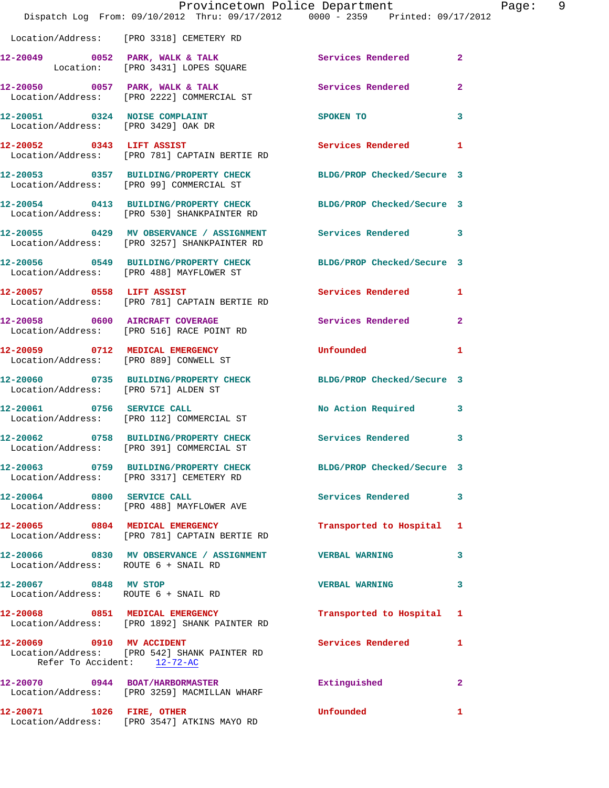|                                                          | Provincetown Police Department The Page:<br>Dispatch Log From: 09/10/2012 Thru: 09/17/2012 0000 - 2359 Printed: 09/17/2012 |                                                                                                                                                                                                                                    |                         | 9 |
|----------------------------------------------------------|----------------------------------------------------------------------------------------------------------------------------|------------------------------------------------------------------------------------------------------------------------------------------------------------------------------------------------------------------------------------|-------------------------|---|
|                                                          | Location/Address: [PRO 3318] CEMETERY RD                                                                                   |                                                                                                                                                                                                                                    |                         |   |
|                                                          | 12-20049 0052 PARK, WALK & TALK Services Rendered 2<br>Location: [PRO 3431] LOPES SQUARE                                   |                                                                                                                                                                                                                                    |                         |   |
|                                                          | 12-20050 0057 PARK, WALK & TALK Services Rendered 2<br>Location/Address: [PRO 2222] COMMERCIAL ST                          |                                                                                                                                                                                                                                    |                         |   |
| Location/Address: [PRO 3429] OAK DR                      | 12-20051 0324 NOISE COMPLAINT                                                                                              | SPOKEN TO THE STATE OF THE STATE OF THE STATE OF THE STATE OF THE STATE OF THE STATE OF THE STATE OF THE STATE OF THE STATE OF THE STATE OF THE STATE OF THE STATE OF THE STATE OF THE STATE OF THE STATE OF THE STATE OF THE      | $\mathbf{3}$            |   |
|                                                          | 12-20052 0343 LIFT ASSIST<br>Location/Address: [PRO 781] CAPTAIN BERTIE RD                                                 | Services Rendered 1                                                                                                                                                                                                                |                         |   |
|                                                          | 12-20053 0357 BUILDING/PROPERTY CHECK BLDG/PROP Checked/Secure 3<br>Location/Address: [PRO 99] COMMERCIAL ST               |                                                                                                                                                                                                                                    |                         |   |
|                                                          | 12-20054 0413 BUILDING/PROPERTY CHECK BLDG/PROP Checked/Secure 3<br>Location/Address: [PRO 530] SHANKPAINTER RD            |                                                                                                                                                                                                                                    |                         |   |
|                                                          | 12-20055 0429 MV OBSERVANCE / ASSIGNMENT Services Rendered 3<br>Location/Address: [PRO 3257] SHANKPAINTER RD               |                                                                                                                                                                                                                                    |                         |   |
|                                                          | 12-20056 0549 BUILDING/PROPERTY CHECK BLDG/PROP Checked/Secure 3<br>Location/Address: [PRO 488] MAYFLOWER ST               |                                                                                                                                                                                                                                    |                         |   |
|                                                          | 12-20057 0558 LIFT ASSIST<br>Location/Address: [PRO 781] CAPTAIN BERTIE RD                                                 | Services Rendered 1                                                                                                                                                                                                                |                         |   |
|                                                          | 12-20058 0600 AIRCRAFT COVERAGE<br>Location/Address: [PRO 516] RACE POINT RD                                               | Services Rendered 2                                                                                                                                                                                                                |                         |   |
|                                                          | 12-20059 0712 MEDICAL EMERGENCY<br>Location/Address: [PRO 889] CONWELL ST                                                  | <b>Unfounded State of the Second State of the Second State of the Second State of the Second State of the Second State of the Second State of the Second State of the Second State of the Second State of the Second State of </b> | 1                       |   |
| Location/Address: [PRO 571] ALDEN ST                     | 12-20060 0735 BUILDING/PROPERTY CHECK BLDG/PROP Checked/Secure 3                                                           |                                                                                                                                                                                                                                    |                         |   |
| 12-20061 0756 SERVICE CALL                               | Location/Address: [PRO 112] COMMERCIAL ST                                                                                  | No Action Required 3                                                                                                                                                                                                               |                         |   |
|                                                          | 12-20062 0758 BUILDING/PROPERTY CHECK<br>Location/Address: [PRO 391] COMMERCIAL ST                                         | <b>Services Rendered</b>                                                                                                                                                                                                           | 3                       |   |
|                                                          | 12-20063 0759 BUILDING/PROPERTY CHECK BLDG/PROP Checked/Secure 3<br>Location/Address: [PRO 3317] CEMETERY RD               |                                                                                                                                                                                                                                    |                         |   |
|                                                          | 12-20064 0800 SERVICE CALL<br>Location/Address: [PRO 488] MAYFLOWER AVE                                                    | <b>Services Rendered</b>                                                                                                                                                                                                           | $\overline{\mathbf{3}}$ |   |
|                                                          | 12-20065 0804 MEDICAL EMERGENCY<br>Location/Address: [PRO 781] CAPTAIN BERTIE RD                                           | Transported to Hospital 1                                                                                                                                                                                                          |                         |   |
| Location/Address: ROUTE 6 + SNAIL RD                     | 12-20066 0830 MV OBSERVANCE / ASSIGNMENT VERBAL WARNING                                                                    |                                                                                                                                                                                                                                    | 3                       |   |
| 12-20067 0848 MV STOP                                    | Location/Address: ROUTE 6 + SNAIL RD                                                                                       | VERBAL WARNING 3                                                                                                                                                                                                                   |                         |   |
|                                                          | 12-20068 0851 MEDICAL EMERGENCY<br>Location/Address: [PRO 1892] SHANK PAINTER RD                                           | Transported to Hospital 1                                                                                                                                                                                                          |                         |   |
| 12-20069 0910 MV ACCIDENT<br>Refer To Accident: 12-72-AC | Location/Address: [PRO 542] SHANK PAINTER RD                                                                               | Services Rendered 1                                                                                                                                                                                                                |                         |   |
|                                                          | 12-20070 0944 BOAT/HARBORMASTER<br>Location/Address: [PRO 3259] MACMILLAN WHARF                                            | Extinguished                                                                                                                                                                                                                       | $\mathbf{2}$            |   |
| 12-20071 1026 FIRE, OTHER                                | Location/Address: [PRO 3547] ATKINS MAYO RD                                                                                | <b>Unfounded</b>                                                                                                                                                                                                                   | 1                       |   |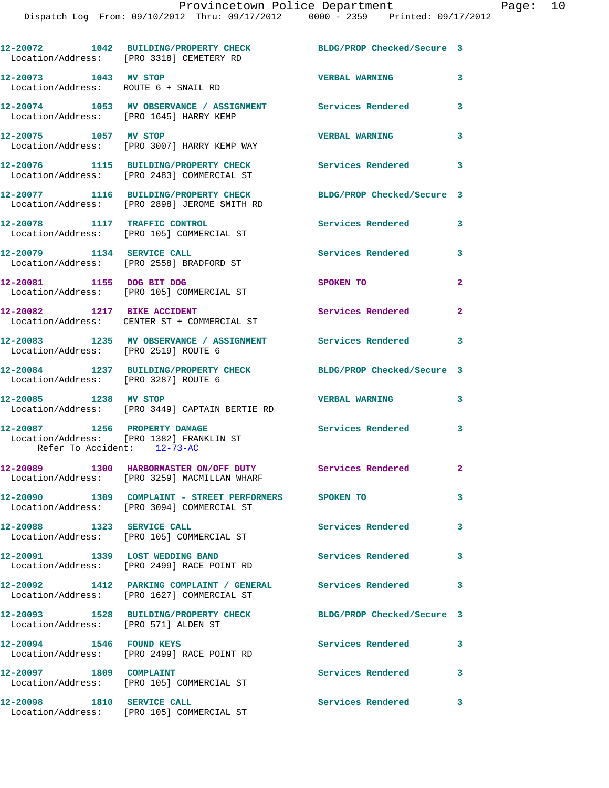|                                                               | 12-20072 1042 BUILDING/PROPERTY CHECK<br>Location/Address: [PRO 3318] CEMETERY RD                         | BLDG/PROP Checked/Secure 3 |              |
|---------------------------------------------------------------|-----------------------------------------------------------------------------------------------------------|----------------------------|--------------|
| 12-20073 1043 MV STOP<br>Location/Address: ROUTE 6 + SNAIL RD |                                                                                                           | <b>VERBAL WARNING</b>      | 3            |
|                                                               | 12-20074 1053 MV OBSERVANCE / ASSIGNMENT Services Rendered<br>Location/Address: [PRO 1645] HARRY KEMP     |                            | 3            |
| 12-20075 1057 MV STOP                                         | Location/Address: [PRO 3007] HARRY KEMP WAY                                                               | <b>VERBAL WARNING</b>      | 3            |
|                                                               | 12-20076 1115 BUILDING/PROPERTY CHECK<br>Location/Address: [PRO 2483] COMMERCIAL ST                       | Services Rendered          | 3            |
|                                                               | 12-20077 1116 BUILDING/PROPERTY CHECK<br>Location/Address: [PRO 2898] JEROME SMITH RD                     | BLDG/PROP Checked/Secure 3 |              |
|                                                               | 12-20078 1117 TRAFFIC CONTROL<br>Location/Address: [PRO 105] COMMERCIAL ST                                | Services Rendered          | 3            |
| 12-20079 1134 SERVICE CALL                                    | Location/Address: [PRO 2558] BRADFORD ST                                                                  | Services Rendered          | 3            |
|                                                               | 12-20081 1155 DOG BIT DOG<br>Location/Address: [PRO 105] COMMERCIAL ST                                    | SPOKEN TO                  | $\mathbf{2}$ |
| 12-20082 1217 BIKE ACCIDENT                                   | Location/Address: CENTER ST + COMMERCIAL ST                                                               | Services Rendered          | $\mathbf{2}$ |
| Location/Address: [PRO 2519] ROUTE 6                          | 12-20083 1235 MV OBSERVANCE / ASSIGNMENT Services Rendered                                                |                            | 3            |
| Location/Address: [PRO 3287] ROUTE 6                          | 12-20084 1237 BUILDING/PROPERTY CHECK                                                                     | BLDG/PROP Checked/Secure 3 |              |
| 12-20085 1238 MV STOP                                         | Location/Address: [PRO 3449] CAPTAIN BERTIE RD                                                            | <b>VERBAL WARNING</b>      | 3            |
| 12-20087 1256 PROPERTY DAMAGE<br>Refer To Accident: 12-73-AC  | Location/Address: [PRO 1382] FRANKLIN ST                                                                  | <b>Services Rendered</b>   | 3            |
|                                                               | 12-20089 1300 HARBORMASTER ON/OFF DUTY Services Rendered<br>Location/Address: [PRO 3259] MACMILLAN WHARF  |                            | $\mathbf{2}$ |
|                                                               | 12-20090 1309 COMPLAINT - STREET PERFORMERS SPOKEN TO<br>Location/Address: [PRO 3094] COMMERCIAL ST       |                            | 3            |
| $12-20088$ 1323 SERVICE CALL                                  | Location/Address: [PRO 105] COMMERCIAL ST                                                                 | <b>Services Rendered</b>   | 3            |
|                                                               | 12-20091 1339 LOST WEDDING BAND<br>Location/Address: [PRO 2499] RACE POINT RD                             | <b>Services Rendered</b>   | 3            |
|                                                               | 12-20092 1412 PARKING COMPLAINT / GENERAL Services Rendered<br>Location/Address: [PRO 1627] COMMERCIAL ST |                            | 3            |
| Location/Address: [PRO 571] ALDEN ST                          | 12-20093 1528 BUILDING/PROPERTY CHECK                                                                     | BLDG/PROP Checked/Secure 3 |              |
| 12-20094 1546 FOUND KEYS                                      | Location/Address: [PRO 2499] RACE POINT RD                                                                | <b>Services Rendered</b>   | 3            |
| 12-20097 1809 COMPLAINT                                       | Location/Address: [PRO 105] COMMERCIAL ST                                                                 | <b>Services Rendered</b>   | 3            |
| 12-20098 1810 SERVICE CALL                                    | Location/Address: [PRO 105] COMMERCIAL ST                                                                 | Services Rendered 3        |              |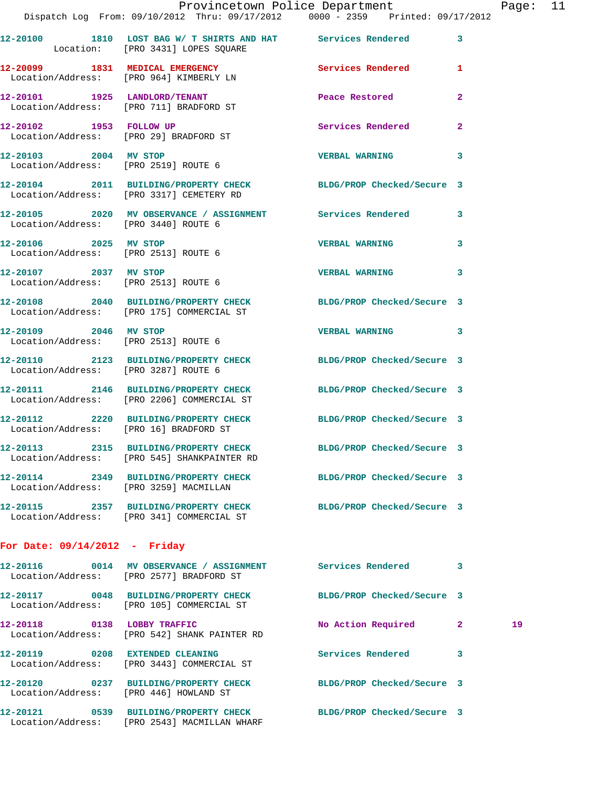|                                                               | Provincetown Police Department<br>Dispatch Log From: 09/10/2012 Thru: 09/17/2012 0000 - 2359 Printed: 09/17/2012 |                            |                |
|---------------------------------------------------------------|------------------------------------------------------------------------------------------------------------------|----------------------------|----------------|
|                                                               | 12-20100 1810 LOST BAG W/ T SHIRTS AND HAT Services Rendered<br>Location: [PRO 3431] LOPES SQUARE                |                            | 3              |
|                                                               | 12-20099 1831 MEDICAL EMERGENCY<br>Location/Address: [PRO 964] KIMBERLY LN                                       | <b>Services Rendered</b>   | $\mathbf{1}$   |
|                                                               | 12-20101 1925 LANDLORD/TENANT<br>Location/Address: [PRO 711] BRADFORD ST                                         | Peace Restored             | $\mathbf{2}$   |
| 12-20102 1953 FOLLOW UP                                       | Location/Address: [PRO 29] BRADFORD ST                                                                           | <b>Services Rendered</b>   | $\overline{a}$ |
| 12-20103 2004 MV STOP                                         | Location/Address: [PRO 2519] ROUTE 6                                                                             | <b>VERBAL WARNING</b>      | 3              |
|                                                               | 12-20104 2011 BUILDING/PROPERTY CHECK BLDG/PROP Checked/Secure 3<br>Location/Address: [PRO 3317] CEMETERY RD     |                            |                |
| Location/Address: [PRO 3440] ROUTE 6                          | 12-20105 2020 MV OBSERVANCE / ASSIGNMENT Services Rendered                                                       |                            | 3              |
| 12-20106 2025 MV STOP                                         | Location/Address: [PRO 2513] ROUTE 6                                                                             | <b>VERBAL WARNING</b>      | 3              |
| 12-20107 2037 MV STOP<br>Location/Address: [PRO 2513] ROUTE 6 |                                                                                                                  | <b>VERBAL WARNING</b>      | 3              |
|                                                               | 12-20108 2040 BUILDING/PROPERTY CHECK BLDG/PROP Checked/Secure 3<br>Location/Address: [PRO 175] COMMERCIAL ST    |                            |                |
| 12-20109 2046 MV STOP                                         | Location/Address: [PRO 2513] ROUTE 6                                                                             | <b>VERBAL WARNING</b>      | 3              |
| Location/Address: [PRO 3287] ROUTE 6                          | 12-20110 2123 BUILDING/PROPERTY CHECK BLDG/PROP Checked/Secure 3                                                 |                            |                |
|                                                               | 12-20111 2146 BUILDING/PROPERTY CHECK BLDG/PROP Checked/Secure 3<br>Location/Address: [PRO 2206] COMMERCIAL ST   |                            |                |
| Location/Address: [PRO 16] BRADFORD ST                        | 12-20112 2220 BUILDING/PROPERTY CHECK BLDG/PROP Checked/Secure 3                                                 |                            |                |
| 12-20113<br>2315                                              | BUILDING/PROPERTY CHECK<br>Location/Address: [PRO 545] SHANKPAINTER RD                                           | BLDG/PROP Checked/Secure 3 |                |
| 12-20114<br>Location/Address: [PRO 3259] MACMILLAN            | 2349 BUILDING/PROPERTY CHECK                                                                                     | BLDG/PROP Checked/Secure 3 |                |
|                                                               | 12-20115 2357 BUILDING/PROPERTY CHECK<br>Location/Address: [PRO 341] COMMERCIAL ST                               | BLDG/PROP Checked/Secure 3 |                |
| For Date: $09/14/2012$ - Friday                               |                                                                                                                  |                            |                |

| 12-20116<br>0014                                           | MV OBSERVANCE / ASSIGNMENT<br>Location/Address: [PRO 2577] BRADFORD ST | Services Rendered          | 3              |    |
|------------------------------------------------------------|------------------------------------------------------------------------|----------------------------|----------------|----|
| 0048<br>12-20117                                           | BUILDING/PROPERTY CHECK<br>Location/Address: [PRO 105] COMMERCIAL ST   | BLDG/PROP Checked/Secure 3 |                |    |
| 12-20118<br>0138                                           | LOBBY TRAFFIC<br>Location/Address: [PRO 542] SHANK PAINTER RD          | No Action Required         | $\mathbf{2}^-$ | 19 |
| 0208<br>12-20119                                           | <b>EXTENDED CLEANING</b><br>Location/Address: [PRO 3443] COMMERCIAL ST | Services Rendered          | 3              |    |
| 0237<br>12-20120<br>Location/Address: [PRO 446] HOWLAND ST | <b>BUILDING/PROPERTY CHECK</b>                                         | BLDG/PROP Checked/Secure 3 |                |    |
| 12-20121<br>0539<br>Location/Address:                      | <b>BUILDING/PROPERTY CHECK</b><br>[PRO 2543] MACMILLAN WHARF           | BLDG/PROP Checked/Secure 3 |                |    |

Page: 11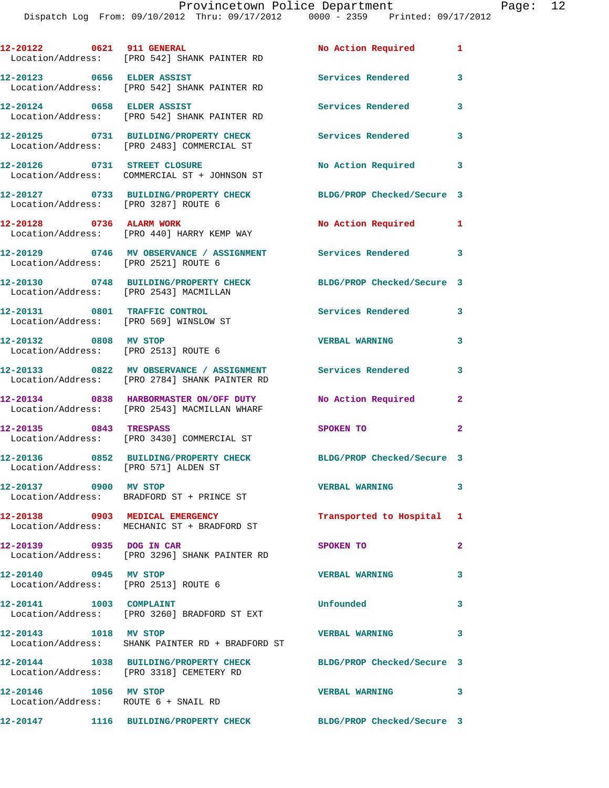| 12-20122 0621 911 GENERAL                                               | Location/Address: [PRO 542] SHANK PAINTER RD                                                                  | No Action Required         | $\mathbf{1}$               |
|-------------------------------------------------------------------------|---------------------------------------------------------------------------------------------------------------|----------------------------|----------------------------|
| 12-20123 0656 ELDER ASSIST                                              | Location/Address: [PRO 542] SHANK PAINTER RD                                                                  | <b>Services Rendered</b>   | 3                          |
| 12-20124 0658 ELDER ASSIST                                              | Location/Address: [PRO 542] SHANK PAINTER RD                                                                  | Services Rendered          | $\overline{\mathbf{3}}$    |
|                                                                         | 12-20125 0731 BUILDING/PROPERTY CHECK<br>Location/Address: [PRO 2483] COMMERCIAL ST                           | <b>Services Rendered</b>   | 3                          |
| 12-20126 0731 STREET CLOSURE                                            | Location/Address: COMMERCIAL ST + JOHNSON ST                                                                  | No Action Required 3       |                            |
| Location/Address: [PRO 3287] ROUTE 6                                    | 12-20127 0733 BUILDING/PROPERTY CHECK                                                                         | BLDG/PROP Checked/Secure 3 |                            |
| 12-20128 0736 ALARM WORK                                                | Location/Address: [PRO 440] HARRY KEMP WAY                                                                    | No Action Required 1       |                            |
| Location/Address: [PRO 2521] ROUTE 6                                    | 12-20129 0746 MV OBSERVANCE / ASSIGNMENT Services Rendered                                                    |                            | $\overline{\phantom{a}}$ 3 |
| Location/Address: [PRO 2543] MACMILLAN                                  | 12-20130 0748 BUILDING/PROPERTY CHECK                                                                         | BLDG/PROP Checked/Secure 3 |                            |
| 12-20131 0801 TRAFFIC CONTROL<br>Location/Address: [PRO 569] WINSLOW ST |                                                                                                               | Services Rendered 3        |                            |
| 12-20132 0808 MV STOP<br>Location/Address: [PRO 2513] ROUTE 6           |                                                                                                               | <b>VERBAL WARNING</b>      | 3                          |
|                                                                         | 12-20133 0822 MV OBSERVANCE / ASSIGNMENT Services Rendered 3<br>Location/Address: [PRO 2784] SHANK PAINTER RD |                            |                            |
|                                                                         | 12-20134 0838 HARBORMASTER ON/OFF DUTY<br>Location/Address: [PRO 2543] MACMILLAN WHARF                        | No Action Required         | $\mathbf{2}$               |
| 12-20135 0843 TRESPASS                                                  | Location/Address: [PRO 3430] COMMERCIAL ST                                                                    | SPOKEN TO                  | $\mathbf{2}$               |
|                                                                         | 12-20136 0852 BUILDING/PROPERTY CHECK BLDG/PROP Checked/Secure 3<br>Location/Address: [PRO 571] ALDEN ST      |                            |                            |
| 12-20137 0900 MV STOP                                                   | Location/Address: BRADFORD ST + PRINCE ST                                                                     | <b>VERBAL WARNING</b>      | 3                          |
|                                                                         | 12-20138 0903 MEDICAL EMERGENCY<br>Location/Address: MECHANIC ST + BRADFORD ST                                | Transported to Hospital 1  |                            |
| 12-20139 0935 DOG IN CAR                                                | Location/Address: [PRO 3296] SHANK PAINTER RD                                                                 | SPOKEN TO                  | $\mathbf{2}$               |
| 12-20140 0945 MV STOP<br>Location/Address: [PRO 2513] ROUTE 6           |                                                                                                               | <b>VERBAL WARNING</b>      | 3                          |
| 12-20141 1003 COMPLAINT                                                 | Location/Address: [PRO 3260] BRADFORD ST EXT                                                                  | Unfounded                  | 3                          |
| 12-20143 1018 MV STOP                                                   | Location/Address: SHANK PAINTER RD + BRADFORD ST                                                              | <b>VERBAL WARNING</b>      | 3                          |
|                                                                         | 12-20144 1038 BUILDING/PROPERTY CHECK BLDG/PROP Checked/Secure 3<br>Location/Address: [PRO 3318] CEMETERY RD  |                            |                            |
| 12-20146 1056 MV STOP<br>Location/Address: ROUTE 6 + SNAIL RD           |                                                                                                               | VERBAL WARNING 3           |                            |
|                                                                         | 12-20147 1116 BUILDING/PROPERTY CHECK BLDG/PROP Checked/Secure 3                                              |                            |                            |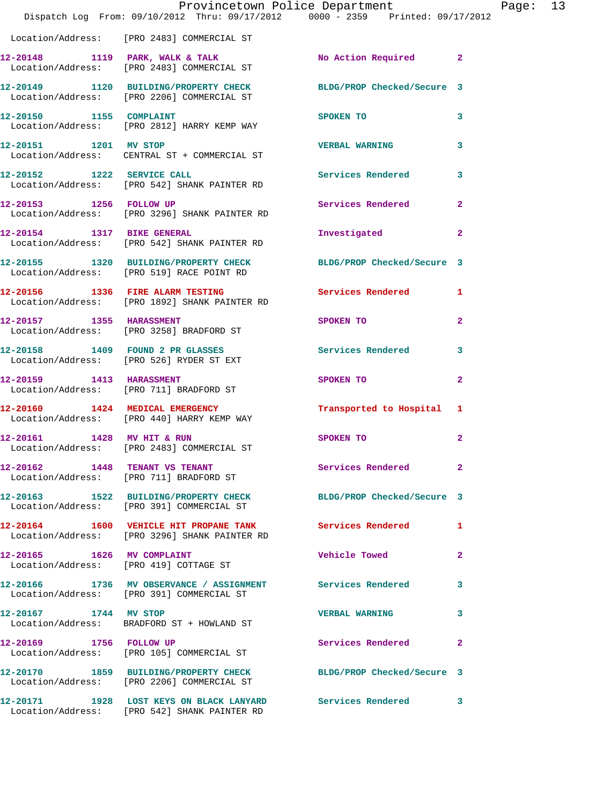|                                | Provincetown Police Department                                                                             |                            |                         |
|--------------------------------|------------------------------------------------------------------------------------------------------------|----------------------------|-------------------------|
|                                | Dispatch Log From: 09/10/2012 Thru: 09/17/2012 0000 - 2359 Printed: 09/17/2012                             |                            |                         |
|                                | Location/Address: [PRO 2483] COMMERCIAL ST                                                                 |                            |                         |
|                                | $12-20148$ 1119 PARK, WALK & TALK<br>Location/Address: [PRO 2483] COMMERCIAL ST                            | No Action Required         | $\overline{2}$          |
|                                | 12-20149 1120 BUILDING/PROPERTY CHECK<br>Location/Address: [PRO 2206] COMMERCIAL ST                        | BLDG/PROP Checked/Secure 3 |                         |
|                                | 12-20150 1155 COMPLAINT<br>Location/Address: [PRO 2812] HARRY KEMP WAY                                     | SPOKEN TO                  | 3                       |
| 12-20151 1201 MV STOP          | Location/Address: CENTRAL ST + COMMERCIAL ST                                                               | <b>VERBAL WARNING</b>      | 3                       |
|                                | 12-20152 1222 SERVICE CALL<br>Location/Address: [PRO 542] SHANK PAINTER RD                                 | Services Rendered          | 3                       |
| 12-20153 1256 FOLLOW UP        | Location/Address: [PRO 3296] SHANK PAINTER RD                                                              | Services Rendered          | $\overline{a}$          |
| 12-20154 1317 BIKE GENERAL     | Location/Address: [PRO 542] SHANK PAINTER RD                                                               | Investigated               | $\overline{\mathbf{2}}$ |
|                                | 12-20155 1320 BUILDING/PROPERTY CHECK<br>Location/Address: [PRO 519] RACE POINT RD                         | BLDG/PROP Checked/Secure 3 |                         |
|                                | 12-20156 1336 FIRE ALARM TESTING<br>Location/Address: [PRO 1892] SHANK PAINTER RD                          | Services Rendered          | 1                       |
| 12-20157 1355 HARASSMENT       | Location/Address: [PRO 3258] BRADFORD ST                                                                   | SPOKEN TO                  | $\overline{\mathbf{2}}$ |
|                                | 12-20158 1409 FOUND 2 PR GLASSES<br>Location/Address: [PRO 526] RYDER ST EXT                               | <b>Services Rendered</b>   | 3                       |
| 12-20159    1413    HARASSMENT | Location/Address: [PRO 711] BRADFORD ST                                                                    | SPOKEN TO                  | $\overline{\mathbf{2}}$ |
|                                | 12-20160 1424 MEDICAL EMERGENCY<br>Location/Address: [PRO 440] HARRY KEMP WAY                              | Transported to Hospital    | 1                       |
|                                | Location/Address: [PRO 2483] COMMERCIAL ST                                                                 | SPOKEN TO                  | $\mathbf{2}$            |
|                                | 12-20162 1448 TENANT VS TENANT<br>Location/Address: [PRO 711] BRADFORD ST                                  | Services Rendered          | $\overline{a}$          |
|                                | 12-20163 1522 BUILDING/PROPERTY CHECK<br>Location/Address: [PRO 391] COMMERCIAL ST                         | BLDG/PROP Checked/Secure 3 |                         |
|                                | 12-20164 1600 VEHICLE HIT PROPANE TANK Services Rendered<br>Location/Address: [PRO 3296] SHANK PAINTER RD  |                            | 1                       |
| 12-20165 1626 MV COMPLAINT     | Location/Address: [PRO 419] COTTAGE ST                                                                     | Vehicle Towed              | 2                       |
|                                | 12-20166 1736 MV OBSERVANCE / ASSIGNMENT Services Rendered<br>Location/Address: [PRO 391] COMMERCIAL ST    |                            | 3                       |
| 12-20167 1744 MV STOP          | Location/Address: BRADFORD ST + HOWLAND ST                                                                 | <b>VERBAL WARNING</b>      | 3                       |
| 12-20169 1756 FOLLOW UP        | Location/Address: [PRO 105] COMMERCIAL ST                                                                  | Services Rendered          | 2                       |
|                                | 12-20170 1859 BUILDING/PROPERTY CHECK<br>Location/Address: [PRO 2206] COMMERCIAL ST                        | BLDG/PROP Checked/Secure 3 |                         |
|                                | 12-20171 1928 LOST KEYS ON BLACK LANYARD Services Rendered<br>Location/Address: [PRO 542] SHANK PAINTER RD |                            | 3                       |

Page: 13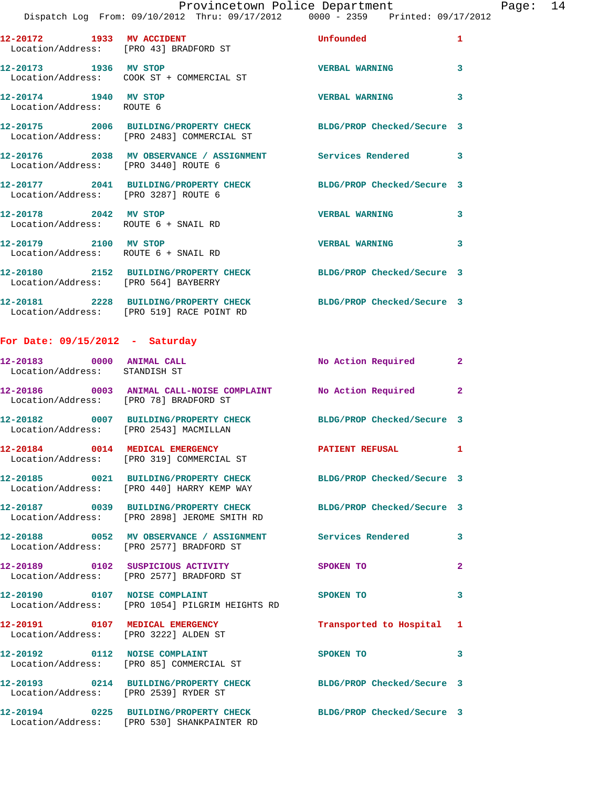|                                                    | Provincetown Police Department                                                                                 |                       |                         | Page: 14 |  |
|----------------------------------------------------|----------------------------------------------------------------------------------------------------------------|-----------------------|-------------------------|----------|--|
|                                                    | Dispatch Log From: 09/10/2012 Thru: 09/17/2012 0000 - 2359 Printed: 09/17/2012                                 |                       |                         |          |  |
|                                                    | 12-20172 1933 MV ACCIDENT Unfounded<br>Location/Address: [PRO 43] BRADFORD ST                                  |                       | $\mathbf{1}$            |          |  |
|                                                    | 12-20173 1936 MV STOP                                                                                          | <b>VERBAL WARNING</b> | $\mathbf{3}$            |          |  |
| 12-20174 1940 MV STOP<br>Location/Address: ROUTE 6 |                                                                                                                | VERBAL WARNING 3      |                         |          |  |
|                                                    | 12-20175 2006 BUILDING/PROPERTY CHECK BLDG/PROP Checked/Secure 3<br>Location/Address: [PRO 2483] COMMERCIAL ST |                       |                         |          |  |
|                                                    | Location/Address: [PRO 3440] ROUTE 6                                                                           |                       |                         |          |  |
|                                                    | 12-20177 2041 BUILDING/PROPERTY CHECK BLDG/PROP Checked/Secure 3<br>Location/Address: [PRO 3287] ROUTE 6       |                       |                         |          |  |
|                                                    | 12-20178 2042 MV STOP<br>Location/Address: ROUTE 6 + SNAIL RD                                                  | <b>VERBAL WARNING</b> | $\overline{\mathbf{3}}$ |          |  |
|                                                    | 12-20179 2100 MV STOP<br>Location/Address: ROUTE 6 + SNAIL RD                                                  | <b>VERBAL WARNING</b> | $\overline{\mathbf{3}}$ |          |  |
|                                                    | 12-20180 2152 BUILDING/PROPERTY CHECK BLDG/PROP Checked/Secure 3<br>Location/Address: [PRO 564] BAYBERRY       |                       |                         |          |  |
|                                                    | 12-20181 2228 BUILDING/PROPERTY CHECK BLDG/PROP Checked/Secure 3<br>Location/Address: [PRO 519] RACE POINT RD  |                       |                         |          |  |
|                                                    |                                                                                                                |                       |                         |          |  |

## **For Date: 09/15/2012 - Saturday**

| 12-20183 0000 ANIMAL CALL<br>Location/Address: STANDISH ST |                                                                                                        | No Action Required 2       |                         |
|------------------------------------------------------------|--------------------------------------------------------------------------------------------------------|----------------------------|-------------------------|
| Location/Address: [PRO 78] BRADFORD ST                     | 12-20186 0003 ANIMAL CALL-NOISE COMPLAINT No Action Required                                           |                            | $\overline{2}$          |
| Location/Address: [PRO 2543] MACMILLAN                     | 12-20182 0007 BUILDING/PROPERTY CHECK                                                                  | BLDG/PROP Checked/Secure 3 |                         |
|                                                            | 12-20184 0014 MEDICAL EMERGENCY<br>Location/Address: [PRO 319] COMMERCIAL ST                           | PATIENT REFUSAL 1          |                         |
|                                                            | 12-20185 0021 BUILDING/PROPERTY CHECK<br>Location/Address: [PRO 440] HARRY KEMP WAY                    | BLDG/PROP Checked/Secure 3 |                         |
|                                                            | 12-20187 0039 BUILDING/PROPERTY CHECK<br>Location/Address: [PRO 2898] JEROME SMITH RD                  | BLDG/PROP Checked/Secure 3 |                         |
|                                                            | 12-20188 0052 MV OBSERVANCE / ASSIGNMENT Services Rendered<br>Location/Address: [PRO 2577] BRADFORD ST |                            | 3                       |
|                                                            | 12-20189    0102    SUSPICIOUS ACTIVITY<br>Location/Address: [PRO 2577] BRADFORD ST                    | SPOKEN TO                  | $\overline{a}$          |
| 12-20190 0107 NOISE COMPLAINT                              | Location/Address: [PRO 1054] PILGRIM HEIGHTS RD                                                        | SPOKEN TO                  | $\overline{\mathbf{3}}$ |
| Location/Address: [PRO 3222] ALDEN ST                      |                                                                                                        | Transported to Hospital 1  |                         |
|                                                            | 12-20192 0112 NOISE COMPLAINT<br>Location/Address: [PRO 85] COMMERCIAL ST                              | SPOKEN TO                  | 3                       |
| Location/Address: [PRO 2539] RYDER ST                      | 12-20193 0214 BUILDING/PROPERTY CHECK                                                                  | BLDG/PROP Checked/Secure 3 |                         |
|                                                            | 12-20194 0225 BUILDING/PROPERTY CHECK<br>Location/Address: [PRO 530] SHANKPAINTER RD                   | BLDG/PROP Checked/Secure 3 |                         |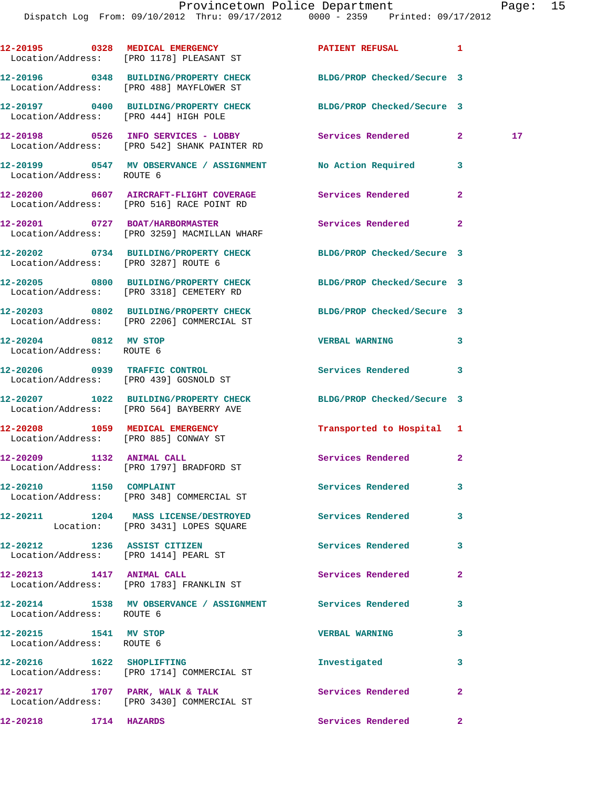|                                                    |                                                                                                                | Provincetown Police Department |              | Page: 15        |  |
|----------------------------------------------------|----------------------------------------------------------------------------------------------------------------|--------------------------------|--------------|-----------------|--|
|                                                    | Dispatch Log From: 09/10/2012 Thru: 09/17/2012 0000 - 2359 Printed: 09/17/2012                                 |                                |              |                 |  |
|                                                    | 12-20195 0328 MEDICAL EMERGENCY PATIENT REFUSAL 1<br>Location/Address: [PRO 1178] PLEASANT ST                  |                                |              |                 |  |
|                                                    | 12-20196 0348 BUILDING/PROPERTY CHECK BLDG/PROP Checked/Secure 3<br>Location/Address: [PRO 488] MAYFLOWER ST   |                                |              |                 |  |
| Location/Address: [PRO 444] HIGH POLE              | 12-20197 0400 BUILDING/PROPERTY CHECK BLDG/PROP Checked/Secure 3                                               |                                |              |                 |  |
|                                                    | 12-20198 0526 INFO SERVICES - LOBBY Services Rendered 2<br>Location/Address: [PRO 542] SHANK PAINTER RD        |                                |              | 17 <sub>1</sub> |  |
| Location/Address: ROUTE 6                          | 12-20199 0547 MV OBSERVANCE / ASSIGNMENT No Action Required 3                                                  |                                |              |                 |  |
|                                                    | 12-20200 0607 AIRCRAFT-FLIGHT COVERAGE Services Rendered<br>Location/Address: [PRO 516] RACE POINT RD          |                                | $\mathbf{2}$ |                 |  |
|                                                    | 12-20201 0727 BOAT/HARBORMASTER<br>Location/Address: [PRO 3259] MACMILLAN WHARF                                | Services Rendered              | $\mathbf{2}$ |                 |  |
| Location/Address: [PRO 3287] ROUTE 6               | 12-20202 0734 BUILDING/PROPERTY CHECK BLDG/PROP Checked/Secure 3                                               |                                |              |                 |  |
|                                                    | 12-20205 0800 BUILDING/PROPERTY CHECK BLDG/PROP Checked/Secure 3<br>Location/Address: [PRO 3318] CEMETERY RD   |                                |              |                 |  |
|                                                    | 12-20203 0802 BUILDING/PROPERTY CHECK BLDG/PROP Checked/Secure 3<br>Location/Address: [PRO 2206] COMMERCIAL ST |                                |              |                 |  |
| 12-20204 0812 MV STOP<br>Location/Address: ROUTE 6 |                                                                                                                | VERBAL WARNING 3               |              |                 |  |
|                                                    | 12-20206 0939 TRAFFIC CONTROL<br>Location/Address: [PRO 439] GOSNOLD ST                                        | Services Rendered 3            |              |                 |  |
|                                                    | 12-20207 1022 BUILDING/PROPERTY CHECK BLDG/PROP Checked/Secure 3<br>Location/Address: [PRO 564] BAYBERRY AVE   |                                |              |                 |  |
| 12-20208<br>Location/Address: [PRO 885] CONWAY ST  | 1059 MEDICAL EMERGENCY                                                                                         | Transported to Hospital 1      |              |                 |  |
| 12-20209 1132 ANIMAL CALL                          | Location/Address: [PRO 1797] BRADFORD ST                                                                       | Services Rendered              | $\mathbf{2}$ |                 |  |
| 12-20210 1150 COMPLAINT                            | Location/Address: [PRO 348] COMMERCIAL ST                                                                      | <b>Services Rendered</b>       | 3            |                 |  |
|                                                    | 12-20211 1204 MASS LICENSE/DESTROYED<br>Location: [PRO 3431] LOPES SQUARE                                      | <b>Services Rendered</b>       | 3            |                 |  |
| 12-20212 1236 ASSIST CITIZEN                       |                                                                                                                | Services Rendered              | $\mathbf{3}$ |                 |  |

Location/Address: [PRO 1414] PEARL ST

**12-20213 1417 ANIMAL CALL Services Rendered 2**  Location/Address: [PRO 1783] FRANKLIN ST

**12-20214 1538 MV OBSERVANCE / ASSIGNMENT Services Rendered 3**  Location/Address: ROUTE 6

**12-20215 1541 MV STOP VERBAL WARNING 3**  Location/Address: ROUTE 6

**12-20216 1622 SHOPLIFTING Investigated 3**  Location/Address: [PRO 1714] COMMERCIAL ST

12-20217 1707 PARK, WALK & TALK **Services Rendered** 2

Location/Address: [PRO 3430] COMMERCIAL ST

**12-20218 1714 HAZARDS Services Rendered 2**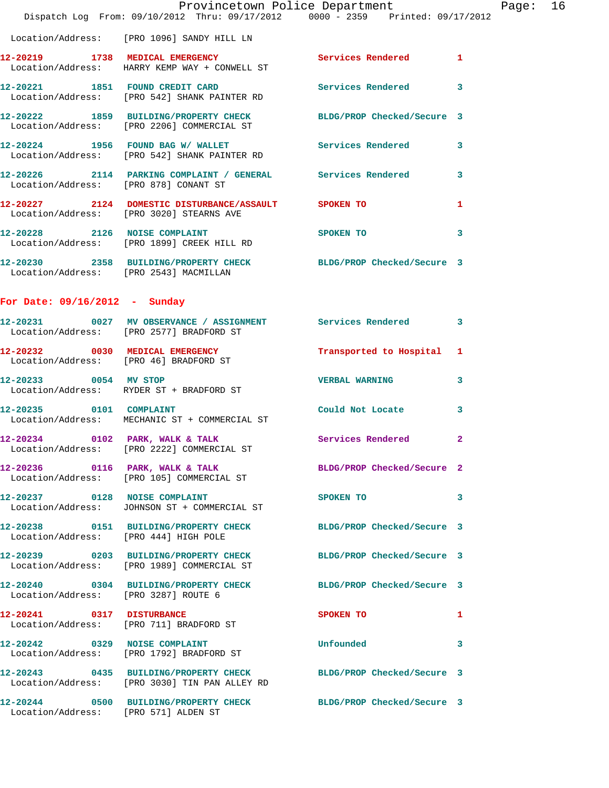|                                        | Provincetown Police Department<br>Dispatch Log From: 09/10/2012 Thru: 09/17/2012 0000 - 2359 Printed: 09/17/2012  |                            |                |
|----------------------------------------|-------------------------------------------------------------------------------------------------------------------|----------------------------|----------------|
|                                        | Location/Address: [PRO 1096] SANDY HILL LN                                                                        |                            |                |
|                                        | 12-20219 1738 MEDICAL EMERGENCY<br>Location/Address: HARRY KEMP WAY + CONWELL ST                                  | <b>Services Rendered</b>   | 1              |
|                                        | 12-20221 1851 FOUND CREDIT CARD<br>Location/Address: [PRO 542] SHANK PAINTER RD                                   | Services Rendered          | 3              |
|                                        | 12-20222 1859 BUILDING/PROPERTY CHECK<br>Location/Address: [PRO 2206] COMMERCIAL ST                               | BLDG/PROP Checked/Secure 3 |                |
|                                        | 12-20224 1956 FOUND BAG W/WALLET<br>Location/Address: [PRO 542] SHANK PAINTER RD                                  | <b>Services Rendered</b>   | 3              |
| Location/Address: [PRO 878] CONANT ST  | 12-20226 2114 PARKING COMPLAINT / GENERAL Services Rendered                                                       |                            | 3              |
|                                        | 12-20227 2124 DOMESTIC DISTURBANCE/ASSAULT SPOKEN TO<br>Location/Address: [PRO 3020] STEARNS AVE                  |                            | 1              |
|                                        | 12-20228 2126 NOISE COMPLAINT<br>Location/Address: [PRO 1899] CREEK HILL RD                                       | <b>SPOKEN TO</b>           | 3              |
| Location/Address: [PRO 2543] MACMILLAN | 12-20230 2358 BUILDING/PROPERTY CHECK BLDG/PROP Checked/Secure 3                                                  |                            |                |
| For Date: $09/16/2012$ - Sunday        |                                                                                                                   |                            |                |
|                                        | 12-20231 0027 MV OBSERVANCE / ASSIGNMENT Services Rendered<br>Location/Address: [PRO 2577] BRADFORD ST            |                            | 3              |
|                                        | 12-20232 0030 MEDICAL EMERGENCY<br>Location/Address: [PRO 46] BRADFORD ST                                         | Transported to Hospital    | 1              |
|                                        | 12-20233 0054 MV STOP<br>Location/Address: RYDER ST + BRADFORD ST                                                 | <b>VERBAL WARNING</b>      | 3              |
| 12-20235 0101 COMPLAINT                | Location/Address: MECHANIC ST + COMMERCIAL ST                                                                     | Could Not Locate           | 3              |
| 12-20234 0102 PARK, WALK & TALK        | Location/Address: [PRO 2222] COMMERCIAL ST                                                                        | Services Rendered          | $\overline{2}$ |
|                                        | 12-20236 0116 PARK, WALK & TALK<br>Location/Address: [PRO 105] COMMERCIAL ST                                      | BLDG/PROP Checked/Secure 2 |                |
|                                        | 12-20237 0128 NOISE COMPLAINT<br>Location/Address: JOHNSON ST + COMMERCIAL ST                                     | SPOKEN TO                  | 3              |
| Location/Address: [PRO 444] HIGH POLE  | 12-20238 0151 BUILDING/PROPERTY CHECK                                                                             | BLDG/PROP Checked/Secure 3 |                |
|                                        | 12-20239 0203 BUILDING/PROPERTY CHECK BLDG/PROP Checked/Secure 3<br>Location/Address: [PRO 1989] COMMERCIAL ST    |                            |                |
| Location/Address: [PRO 3287] ROUTE 6   | 12-20240 0304 BUILDING/PROPERTY CHECK                                                                             | BLDG/PROP Checked/Secure 3 |                |
| 12-20241 0317 DISTURBANCE              | Location/Address: [PRO 711] BRADFORD ST                                                                           | SPOKEN TO                  | 1              |
|                                        | 12-20242 0329 NOISE COMPLAINT<br>Location/Address: [PRO 1792] BRADFORD ST                                         | Unfounded                  | 3              |
|                                        | 12-20243 0435 BUILDING/PROPERTY CHECK BLDG/PROP Checked/Secure 3<br>Location/Address: [PRO 3030] TIN PAN ALLEY RD |                            |                |
| Location/Address: [PRO 571] ALDEN ST   | 12-20244 0500 BUILDING/PROPERTY CHECK BLDG/PROP Checked/Secure 3                                                  |                            |                |

Page:  $16$ <br> $12$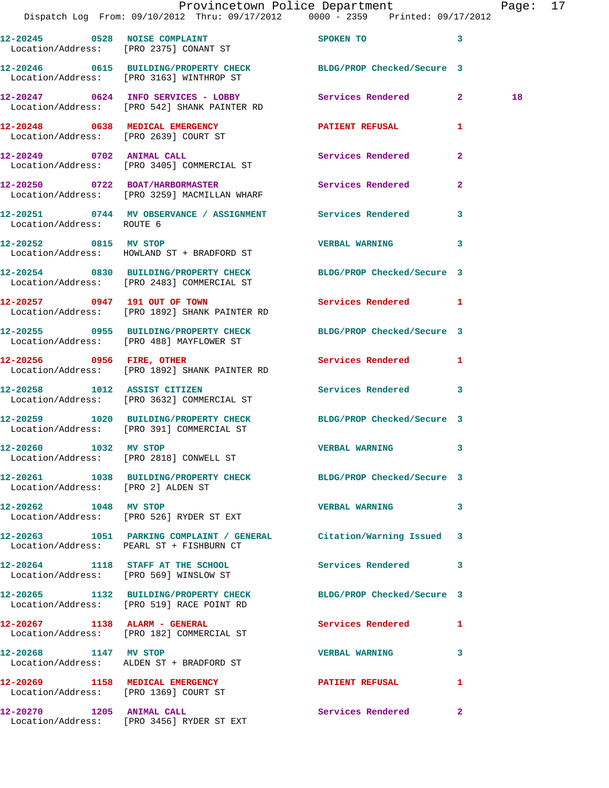|                                    | Provincetown Police Department<br>Dispatch Log From: 09/10/2012 Thru: 09/17/2012 0000 - 2359 Printed: 09/17/2012 |                          |              | Page: 17 |  |
|------------------------------------|------------------------------------------------------------------------------------------------------------------|--------------------------|--------------|----------|--|
|                                    | 12-20245 0528 NOISE COMPLAINT<br>Location/Address: [PRO 2375] CONANT ST                                          | SPOKEN TO 3              |              |          |  |
|                                    | 12-20246 0615 BUILDING/PROPERTY CHECK BLDG/PROP Checked/Secure 3<br>Location/Address: [PRO 3163] WINTHROP ST     |                          |              |          |  |
|                                    | 12-20247 0624 INFO SERVICES - LOBBY<br>Location/Address: [PRO 542] SHANK PAINTER RD                              | Services Rendered 2      |              | 18       |  |
|                                    | 12-20248 0638 MEDICAL EMERGENCY <b>NEW PATIENT REFUSAL</b><br>Location/Address: [PRO 2639] COURT ST              |                          | $\mathbf{1}$ |          |  |
|                                    | 12-20249 0702 ANIMAL CALL<br>Location/Address: [PRO 3405] COMMERCIAL ST                                          | <b>Services Rendered</b> | $\mathbf{2}$ |          |  |
|                                    | 12-20250 0722 BOAT/HARBORMASTER<br>Location/Address: [PRO 3259] MACMILLAN WHARF                                  | Services Rendered        | $\mathbf{2}$ |          |  |
| Location/Address: ROUTE 6          | 12-20251 0744 MV OBSERVANCE / ASSIGNMENT Services Rendered 3                                                     |                          |              |          |  |
|                                    | 12-20252 0815 MV STOP<br>Location/Address: HOWLAND ST + BRADFORD ST                                              | VERBAL WARNING 3         |              |          |  |
|                                    | 12-20254 0830 BUILDING/PROPERTY CHECK BLDG/PROP Checked/Secure 3<br>Location/Address: [PRO 2483] COMMERCIAL ST   |                          |              |          |  |
|                                    | 12-20257 0947 191 OUT OF TOWN<br>Location/Address: [PRO 1892] SHANK PAINTER RD                                   | Services Rendered 1      |              |          |  |
|                                    | 12-20255 0955 BUILDING/PROPERTY CHECK BLDG/PROP Checked/Secure 3<br>Location/Address: [PRO 488] MAYFLOWER ST     |                          |              |          |  |
|                                    | 12-20256 0956 FIRE, OTHER<br>Location/Address: [PRO 1892] SHANK PAINTER RD                                       | Services Rendered 1      |              |          |  |
| 12-20258 1012 ASSIST CITIZEN       | Location/Address: [PRO 3632] COMMERCIAL ST                                                                       | Services Rendered 3      |              |          |  |
|                                    | 12-20259 1020 BUILDING/PROPERTY CHECK BLDG/PROP Checked/Secure 3<br>Location/Address: [PRO 391] COMMERCIAL ST    |                          |              |          |  |
| 12-20260 1032 MV STOP              | Location/Address: [PRO 2818] CONWELL ST                                                                          | VERBAL WARNING 3         |              |          |  |
| Location/Address: [PRO 2] ALDEN ST | 12-20261 1038 BUILDING/PROPERTY CHECK BLDG/PROP Checked/Secure 3                                                 |                          |              |          |  |
| 12-20262 1048 MV STOP              | Location/Address: [PRO 526] RYDER ST EXT                                                                         | VERBAL WARNING 3         |              |          |  |
|                                    | 12-20263 1051 PARKING COMPLAINT / GENERAL Citation/Warning Issued 3<br>Location/Address: PEARL ST + FISHBURN CT  |                          |              |          |  |
|                                    | 12-20264 1118 STAFF AT THE SCHOOL 5 Services Rendered 3<br>Location/Address: [PRO 569] WINSLOW ST                |                          |              |          |  |
|                                    | 12-20265 1132 BUILDING/PROPERTY CHECK BLDG/PROP Checked/Secure 3<br>Location/Address: [PRO 519] RACE POINT RD    |                          |              |          |  |
|                                    | 12-20267 1138 ALARM - GENERAL<br>Location/Address: [PRO 182] COMMERCIAL ST                                       | Services Rendered 1      |              |          |  |
|                                    | 12-20268 1147 MV STOP<br>Location/Address: ALDEN ST + BRADFORD ST                                                | <b>VERBAL WARNING</b>    | 3            |          |  |
|                                    | 12-20269 1158 MEDICAL EMERGENCY<br>Location/Address: [PRO 1369] COURT ST                                         | PATIENT REFUSAL          | 1            |          |  |
|                                    | 12-20270 1205 ANIMAL CALL<br>Location/Address: [PRO 3456] RYDER ST EXT                                           | Services Rendered        | $\mathbf{2}$ |          |  |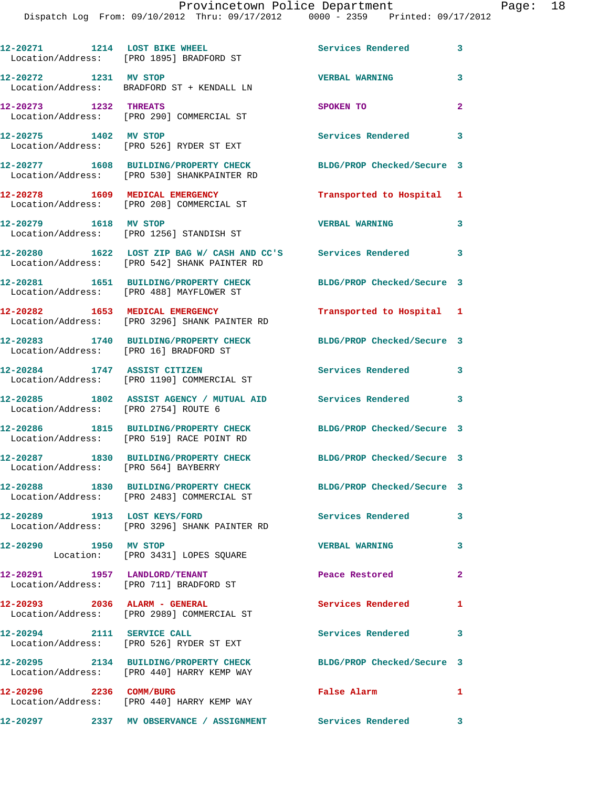Dispatch Log From: 09/10/2012 Thru: 09/17/2012 0000 - 2359 Printed: 09/17/2012

**12-20271 1214 LOST BIKE WHEEL Services Rendered 3**  Location/Address: [PRO 1895] BRADFORD ST **12-20272 1231 MV STOP VERBAL WARNING 3**  Location/Address: BRADFORD ST + KENDALL LN **12-20273 1232 THREATS SPOKEN TO 2**  Location/Address: [PRO 290] COMMERCIAL ST **12-20275 1402 MV STOP Services Rendered 3**  Location/Address: [PRO 526] RYDER ST EXT **12-20277 1608 BUILDING/PROPERTY CHECK BLDG/PROP Checked/Secure 3**  Location/Address: [PRO 530] SHANKPAINTER RD **12-20278 1609 MEDICAL EMERGENCY Transported to Hospital 1**  Location/Address: [PRO 208] COMMERCIAL ST **12-20279 1618 MV STOP VERBAL WARNING 3**  Location/Address: [PRO 1256] STANDISH ST **12-20280 1622 LOST ZIP BAG W/ CASH AND CC'S Services Rendered 3**  Location/Address: [PRO 542] SHANK PAINTER RD **12-20281 1651 BUILDING/PROPERTY CHECK BLDG/PROP Checked/Secure 3**  Location/Address: [PRO 488] MAYFLOWER ST **12-20282 1653 MEDICAL EMERGENCY Transported to Hospital 1**  Location/Address: [PRO 3296] SHANK PAINTER RD **12-20283 1740 BUILDING/PROPERTY CHECK BLDG/PROP Checked/Secure 3**  Location/Address: [PRO 16] BRADFORD ST **12-20284 1747 ASSIST CITIZEN Services Rendered 3**  Location/Address: [PRO 1190] COMMERCIAL ST **12-20285 1802 ASSIST AGENCY / MUTUAL AID Services Rendered 3**  Location/Address: [PRO 2754] ROUTE 6 **12-20286 1815 BUILDING/PROPERTY CHECK BLDG/PROP Checked/Secure 3**  Location/Address: [PRO 519] RACE POINT RD **12-20287 1830 BUILDING/PROPERTY CHECK BLDG/PROP Checked/Secure 3**  Location/Address: [PRO 564] BAYBERRY **12-20288 1830 BUILDING/PROPERTY CHECK BLDG/PROP Checked/Secure 3**  Location/Address: [PRO 2483] COMMERCIAL ST **12-20289 1913 LOST KEYS/FORD Services Rendered 3**  Location/Address: [PRO 3296] SHANK PAINTER RD **12-20290 1950 MV STOP VERBAL WARNING 3**  Location: [PRO 3431] LOPES SQUARE **12-20291 1957 LANDLORD/TENANT Peace Restored 2**  Location/Address: [PRO 711] BRADFORD ST **12-20293 2036 ALARM - GENERAL Services Rendered 1**  Location/Address: [PRO 2989] COMMERCIAL ST **12-20294 2111 SERVICE CALL Services Rendered 3**  Location/Address: [PRO 526] RYDER ST EXT **12-20295 2134 BUILDING/PROPERTY CHECK BLDG/PROP Checked/Secure 3**  Location/Address: [PRO 440] HARRY KEMP WAY **12-20296 2236 COMM/BURG False Alarm 1**  Location/Address: [PRO 440] HARRY KEMP WAY **12-20297 2337 MV OBSERVANCE / ASSIGNMENT Services Rendered 3**